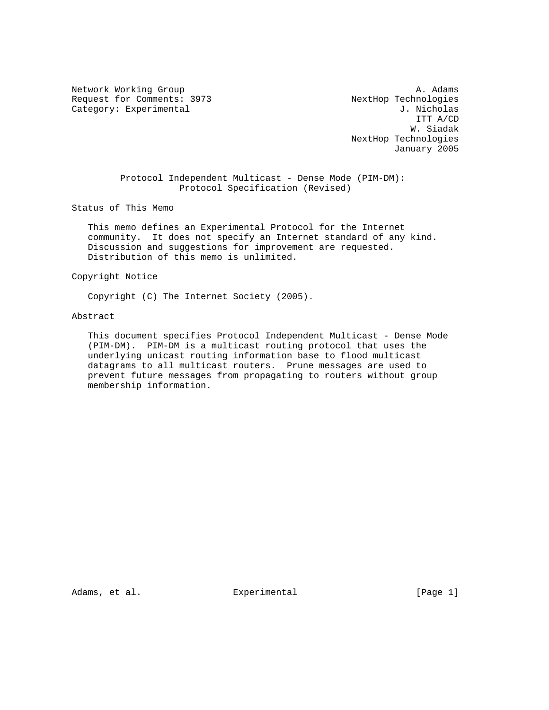Network Working Group and the set of the set of the set of the set of the set of the set of the set of the set of the set of the set of the set of the set of the set of the set of the set of the set of the set of the set o Request for Comments: 3973 NextHop Technologies

Category: Experimental J. Nicholas<br>
J. Nicholas ITT A/CD W. Siadak NextHop Technologies January 2005

> Protocol Independent Multicast - Dense Mode (PIM-DM): Protocol Specification (Revised)

Status of This Memo

 This memo defines an Experimental Protocol for the Internet community. It does not specify an Internet standard of any kind. Discussion and suggestions for improvement are requested. Distribution of this memo is unlimited.

## Copyright Notice

Copyright (C) The Internet Society (2005).

# Abstract

 This document specifies Protocol Independent Multicast - Dense Mode (PIM-DM). PIM-DM is a multicast routing protocol that uses the underlying unicast routing information base to flood multicast datagrams to all multicast routers. Prune messages are used to prevent future messages from propagating to routers without group membership information.

Adams, et al.  $\Box$  Experimental  $\Box$  [Page 1]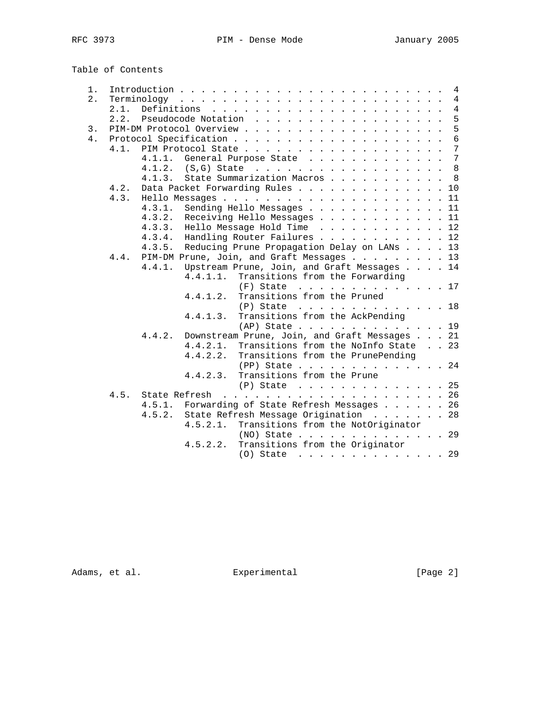Table of Contents

| 1. |      |                                                                                              |  | 4              |
|----|------|----------------------------------------------------------------------------------------------|--|----------------|
| 2. |      |                                                                                              |  | $\overline{4}$ |
|    | 2.1. | Definitions $\cdots$ $\cdots$ $\cdots$ $\cdots$ $\cdots$ $\cdots$ $\cdots$ $\cdots$ $\cdots$ |  | $\overline{4}$ |
|    | 2.2. | Pseudocode Notation                                                                          |  | 5              |
| 3. |      |                                                                                              |  | 5              |
| 4. |      |                                                                                              |  | $6\phantom{a}$ |
|    | 4.1  |                                                                                              |  | 7              |
|    |      | General Purpose State<br>4.1.1.                                                              |  | 7              |
|    |      | 4.1.2. $(S, G)$ State                                                                        |  | 8              |
|    |      | State Summarization Macros<br>4.1.3.                                                         |  | 8              |
|    | 4.2. | Data Packet Forwarding Rules 10                                                              |  |                |
|    | 4.3. |                                                                                              |  |                |
|    |      | 4.3.1.<br>Sending Hello Messages 11                                                          |  |                |
|    |      | 4.3.2.<br>Receiving Hello Messages 11                                                        |  |                |
|    |      | 4.3.3.<br>Hello Message Hold Time $\ldots$ , 12                                              |  |                |
|    |      | 4.3.4.<br>Handling Router Failures 12                                                        |  |                |
|    |      | Reducing Prune Propagation Delay on LANs 13<br>4.3.5.                                        |  |                |
|    | 4.4. | PIM-DM Prune, Join, and Graft Messages 13                                                    |  |                |
|    |      | Upstream Prune, Join, and Graft Messages 14<br>4.4.1.                                        |  |                |
|    |      | 4.4.1.1.<br>Transitions from the Forwarding                                                  |  |                |
|    |      | $(F)$ State 17                                                                               |  |                |
|    |      | Transitions from the Pruned<br>4.4.1.2.                                                      |  |                |
|    |      |                                                                                              |  |                |
|    |      | $(P)$ State 18<br>Transitions from the AckPending                                            |  |                |
|    |      | 4.4.1.3.                                                                                     |  |                |
|    |      | $AP)$ State 19                                                                               |  |                |
|    |      | Downstream Prune, Join, and Graft Messages 21<br>4.4.2.                                      |  |                |
|    |      | 4.4.2.1.<br>Transitions from the NoInfo State 23                                             |  |                |
|    |      | 4.4.2.2.<br>Transitions from the PrunePending                                                |  |                |
|    |      | $(PP)$ State 24                                                                              |  |                |
|    |      | Transitions from the Prune<br>4.4.2.3.                                                       |  |                |
|    |      | $(P)$ State 25                                                                               |  |                |
|    | 4.5. | State Refresh                                                                                |  |                |
|    |      | 4.5.1. Forwarding of State Refresh Messages 26                                               |  |                |
|    |      | State Refresh Message Origination 28<br>4.5.2.                                               |  |                |
|    |      | 4.5.2.1.<br>Transitions from the NotOriginator                                               |  |                |
|    |      | (NO) State 29                                                                                |  |                |
|    |      | Transitions from the Originator<br>4.5.2.2.                                                  |  |                |
|    |      | $(0)$ State 29                                                                               |  |                |

Adams, et al. Experimental Experimental [Page 2]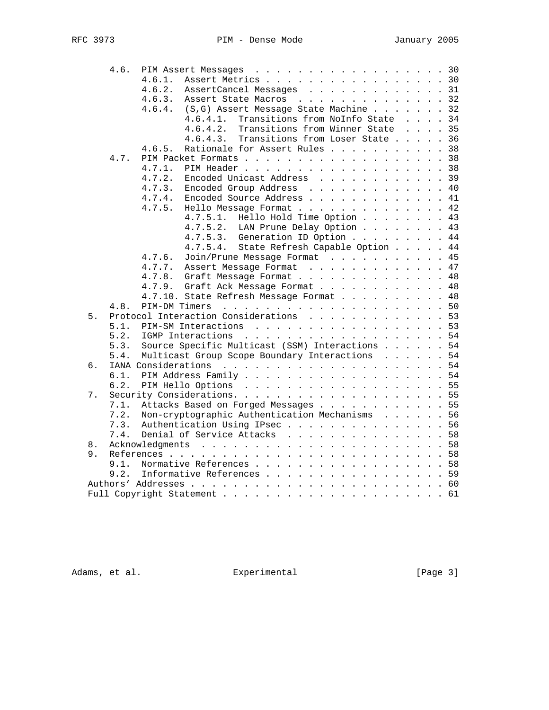|          | 4.6. | PIM Assert Messages 30                          |                                                |  |    |
|----------|------|-------------------------------------------------|------------------------------------------------|--|----|
|          |      | Assert Metrics 30<br>4.6.1.                     |                                                |  |    |
|          |      | 4.6.2.<br>AssertCancel Messages 31              |                                                |  |    |
|          |      | Assert State Macros 32<br>4.6.3.                |                                                |  |    |
|          |      | (S,G) Assert Message State Machine 32<br>4.6.4. |                                                |  |    |
|          |      | Transitions from NoInfo State 34<br>4.6.4.1.    |                                                |  |    |
|          |      | 4.6.4.2.<br>Transitions from Winner State       | $\mathbf{1}$ and $\mathbf{1}$ and $\mathbf{1}$ |  | 35 |
|          |      | Transitions from Loser State 36<br>4.6.4.3.     |                                                |  |    |
|          |      | Rationale for Assert Rules 38<br>4.6.5.         |                                                |  |    |
|          | 4.7. | PIM Packet Formats 38                           |                                                |  |    |
|          |      | 4.7.1.<br>PIM Header 38                         |                                                |  |    |
|          |      | 4.7.2.<br>Encoded Unicast Address 39            |                                                |  |    |
|          |      | Encoded Group Address 40<br>4.7.3.              |                                                |  |    |
|          |      | 4.7.4.<br>Encoded Source Address 41             |                                                |  |    |
|          |      | Hello Message Format 42<br>4.7.5.               |                                                |  |    |
|          |      | Hello Hold Time Option 43<br>4.7.5.1.           |                                                |  |    |
|          |      | 4.7.5.2. LAN Prune Delay Option 43              |                                                |  |    |
|          |      | 4.7.5.3. Generation ID Option 44                |                                                |  |    |
|          |      | State Refresh Capable Option 44<br>4.7.5.4.     |                                                |  |    |
|          |      | Join/Prune Message Format 45<br>4.7.6.          |                                                |  |    |
|          |      | Assert Message Format 47<br>4.7.7.              |                                                |  |    |
|          |      | Graft Message Format 48<br>4.7.8.               |                                                |  |    |
|          |      | 4.7.9.<br>Graft Ack Message Format 48           |                                                |  |    |
|          |      | 4.7.10. State Refresh Message Format 48         |                                                |  |    |
|          | 4.8. |                                                 |                                                |  |    |
| 5.       |      | Protocol Interaction Considerations 53          |                                                |  |    |
|          | 5.1. | PIM-SM Interactions 53                          |                                                |  |    |
|          | 5.2. | IGMP Interactions 54                            |                                                |  |    |
|          | 5.3. | Source Specific Multicast (SSM) Interactions 54 |                                                |  |    |
|          | 5.4. | Multicast Group Scope Boundary Interactions 54  |                                                |  |    |
| б.       |      |                                                 |                                                |  |    |
|          | 6.1. | PIM Address Family 54                           |                                                |  |    |
|          | 6.2. | PIM Hello Options 55                            |                                                |  |    |
| 7.       |      |                                                 |                                                |  |    |
|          | 7.1. | Attacks Based on Forged Messages 55             |                                                |  |    |
|          | 7.2. | Non-cryptographic Authentication Mechanisms 56  |                                                |  |    |
|          | 7.3. | Authentication Using IPsec56                    |                                                |  |    |
|          | 7.4. | Denial of Service Attacks 58                    |                                                |  |    |
|          |      |                                                 |                                                |  |    |
| 8.<br>9. |      |                                                 |                                                |  |    |
|          | 9.1. | Normative References 58                         |                                                |  |    |
|          | 9.2. | Informative References 59                       |                                                |  |    |
|          |      |                                                 |                                                |  |    |
|          |      |                                                 |                                                |  |    |
|          |      |                                                 |                                                |  |    |

Adams, et al. Experimental Experimental [Page 3]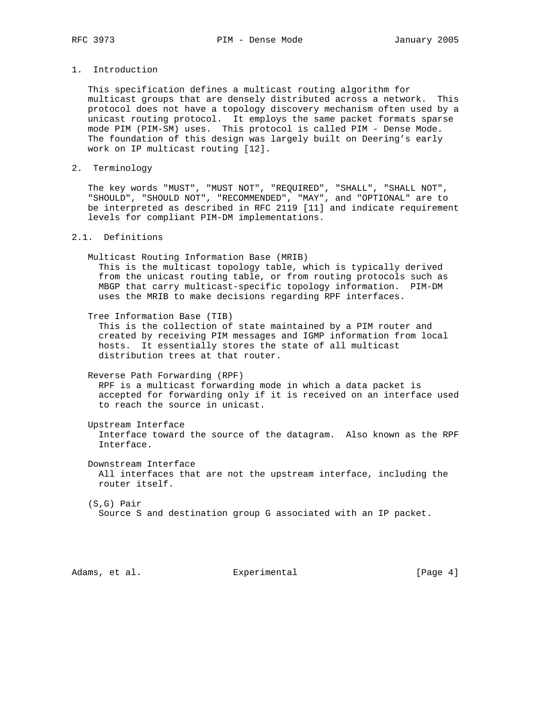# 1. Introduction

 This specification defines a multicast routing algorithm for multicast groups that are densely distributed across a network. This protocol does not have a topology discovery mechanism often used by a unicast routing protocol. It employs the same packet formats sparse mode PIM (PIM-SM) uses. This protocol is called PIM - Dense Mode. The foundation of this design was largely built on Deering's early work on IP multicast routing [12].

2. Terminology

 The key words "MUST", "MUST NOT", "REQUIRED", "SHALL", "SHALL NOT", "SHOULD", "SHOULD NOT", "RECOMMENDED", "MAY", and "OPTIONAL" are to be interpreted as described in RFC 2119 [11] and indicate requirement levels for compliant PIM-DM implementations.

## 2.1. Definitions

Multicast Routing Information Base (MRIB)

 This is the multicast topology table, which is typically derived from the unicast routing table, or from routing protocols such as MBGP that carry multicast-specific topology information. PIM-DM uses the MRIB to make decisions regarding RPF interfaces.

Tree Information Base (TIB)

 This is the collection of state maintained by a PIM router and created by receiving PIM messages and IGMP information from local hosts. It essentially stores the state of all multicast distribution trees at that router.

Reverse Path Forwarding (RPF)

 RPF is a multicast forwarding mode in which a data packet is accepted for forwarding only if it is received on an interface used to reach the source in unicast.

Upstream Interface

 Interface toward the source of the datagram. Also known as the RPF Interface.

 Downstream Interface All interfaces that are not the upstream interface, including the router itself.

 (S,G) Pair Source S and destination group G associated with an IP packet.

Adams, et al. Subsection Experimental Contracts (Page 4)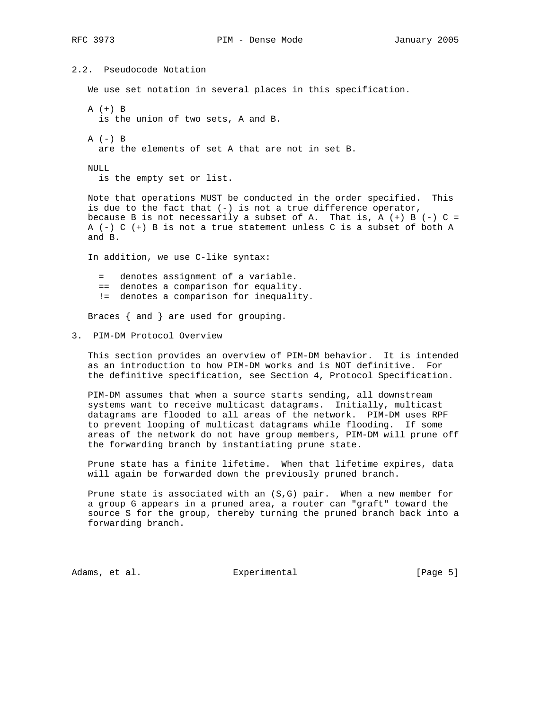```
2.2. Pseudocode Notation
    We use set notation in several places in this specification.
   A (+) B
     is the union of two sets, A and B.
  A (-) B
     are the elements of set A that are not in set B.
   NULL
     is the empty set or list.
   Note that operations MUST be conducted in the order specified. This
   is due to the fact that (-) is not a true difference operator,
  because B is not necessarily a subset of A. That is, A (+) B (-) C =
   A (-) C (+) B is not a true statement unless C is a subset of both A
   and B.
    In addition, we use C-like syntax:
     = denotes assignment of a variable.
     == denotes a comparison for equality.
     != denotes a comparison for inequality.
   Braces { and } are used for grouping.
3. PIM-DM Protocol Overview
```
 This section provides an overview of PIM-DM behavior. It is intended as an introduction to how PIM-DM works and is NOT definitive. For the definitive specification, see Section 4, Protocol Specification.

 PIM-DM assumes that when a source starts sending, all downstream systems want to receive multicast datagrams. Initially, multicast datagrams are flooded to all areas of the network. PIM-DM uses RPF to prevent looping of multicast datagrams while flooding. If some areas of the network do not have group members, PIM-DM will prune off the forwarding branch by instantiating prune state.

 Prune state has a finite lifetime. When that lifetime expires, data will again be forwarded down the previously pruned branch.

 Prune state is associated with an (S,G) pair. When a new member for a group G appears in a pruned area, a router can "graft" toward the source S for the group, thereby turning the pruned branch back into a forwarding branch.

Adams, et al. Subsection Experimental Contracts [Page 5]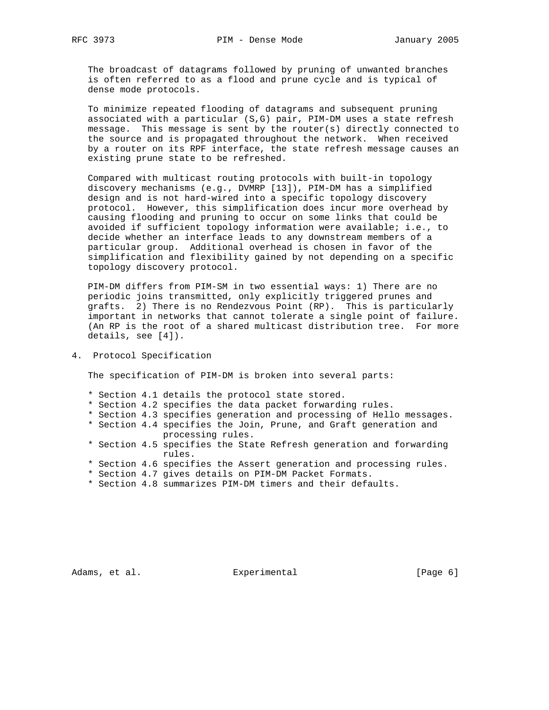The broadcast of datagrams followed by pruning of unwanted branches is often referred to as a flood and prune cycle and is typical of dense mode protocols.

 To minimize repeated flooding of datagrams and subsequent pruning associated with a particular (S,G) pair, PIM-DM uses a state refresh message. This message is sent by the router(s) directly connected to the source and is propagated throughout the network. When received by a router on its RPF interface, the state refresh message causes an existing prune state to be refreshed.

 Compared with multicast routing protocols with built-in topology discovery mechanisms (e.g., DVMRP [13]), PIM-DM has a simplified design and is not hard-wired into a specific topology discovery protocol. However, this simplification does incur more overhead by causing flooding and pruning to occur on some links that could be avoided if sufficient topology information were available; i.e., to decide whether an interface leads to any downstream members of a particular group. Additional overhead is chosen in favor of the simplification and flexibility gained by not depending on a specific topology discovery protocol.

 PIM-DM differs from PIM-SM in two essential ways: 1) There are no periodic joins transmitted, only explicitly triggered prunes and grafts. 2) There is no Rendezvous Point (RP). This is particularly important in networks that cannot tolerate a single point of failure. (An RP is the root of a shared multicast distribution tree. For more details, see [4]).

## 4. Protocol Specification

The specification of PIM-DM is broken into several parts:

- \* Section 4.1 details the protocol state stored.
- \* Section 4.2 specifies the data packet forwarding rules.
- \* Section 4.3 specifies generation and processing of Hello messages.
- \* Section 4.4 specifies the Join, Prune, and Graft generation and processing rules.
- \* Section 4.5 specifies the State Refresh generation and forwarding rules.
- \* Section 4.6 specifies the Assert generation and processing rules.
- \* Section 4.7 gives details on PIM-DM Packet Formats.
- \* Section 4.8 summarizes PIM-DM timers and their defaults.

Adams, et al. Subsection Experimental Contracts (Page 6)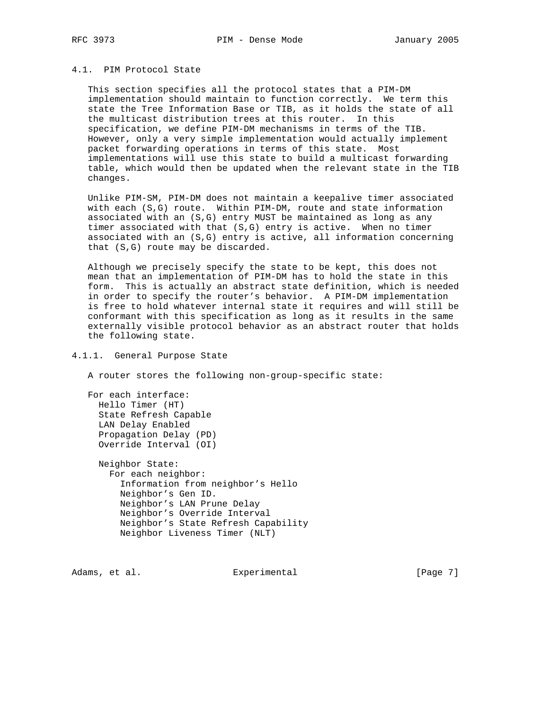# 4.1. PIM Protocol State

 This section specifies all the protocol states that a PIM-DM implementation should maintain to function correctly. We term this state the Tree Information Base or TIB, as it holds the state of all the multicast distribution trees at this router. In this specification, we define PIM-DM mechanisms in terms of the TIB. However, only a very simple implementation would actually implement packet forwarding operations in terms of this state. Most implementations will use this state to build a multicast forwarding table, which would then be updated when the relevant state in the TIB changes.

 Unlike PIM-SM, PIM-DM does not maintain a keepalive timer associated with each (S,G) route. Within PIM-DM, route and state information associated with an (S,G) entry MUST be maintained as long as any timer associated with that (S,G) entry is active. When no timer associated with an (S,G) entry is active, all information concerning that (S,G) route may be discarded.

 Although we precisely specify the state to be kept, this does not mean that an implementation of PIM-DM has to hold the state in this form. This is actually an abstract state definition, which is needed in order to specify the router's behavior. A PIM-DM implementation is free to hold whatever internal state it requires and will still be conformant with this specification as long as it results in the same externally visible protocol behavior as an abstract router that holds the following state.

## 4.1.1. General Purpose State

A router stores the following non-group-specific state:

 For each interface: Hello Timer (HT) State Refresh Capable LAN Delay Enabled Propagation Delay (PD) Override Interval (OI)

 Neighbor State: For each neighbor: Information from neighbor's Hello Neighbor's Gen ID. Neighbor's LAN Prune Delay Neighbor's Override Interval Neighbor's State Refresh Capability Neighbor Liveness Timer (NLT)

Adams, et al. Subsection Experimental Contracts [Page 7]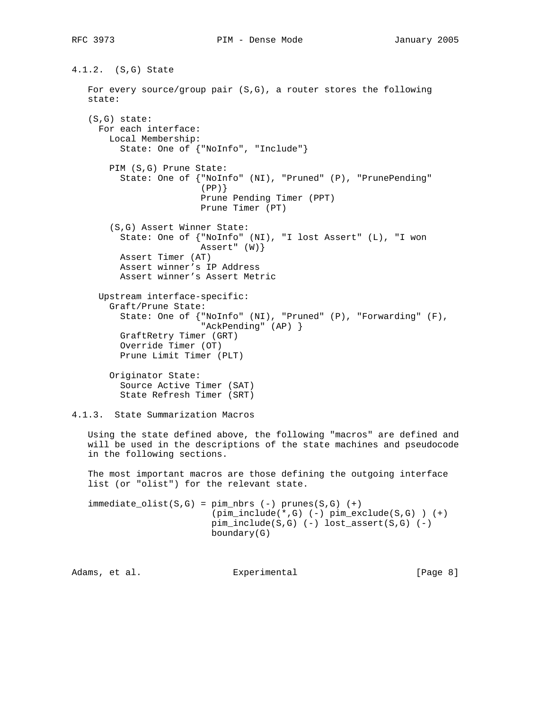```
4.1.2. (S,G) State
    For every source/group pair (S,G), a router stores the following
    state:
    (S,G) state:
     For each interface:
       Local Membership:
          State: One of {"NoInfo", "Include"}
        PIM (S,G) Prune State:
          State: One of {"NoInfo" (NI), "Pruned" (P), "PrunePending"
                         (PP) Prune Pending Timer (PPT)
                         Prune Timer (PT)
        (S,G) Assert Winner State:
          State: One of {"NoInfo" (NI), "I lost Assert" (L), "I won
                         Assert" (W)}
          Assert Timer (AT)
          Assert winner's IP Address
          Assert winner's Assert Metric
      Upstream interface-specific:
        Graft/Prune State:
          State: One of {"NoInfo" (NI), "Pruned" (P), "Forwarding" (F),
                          "AckPending" (AP) }
          GraftRetry Timer (GRT)
          Override Timer (OT)
          Prune Limit Timer (PLT)
        Originator State:
          Source Active Timer (SAT)
          State Refresh Timer (SRT)
4.1.3. State Summarization Macros
    Using the state defined above, the following "macros" are defined and
    will be used in the descriptions of the state machines and pseudocode
```
 The most important macros are those defining the outgoing interface list (or "olist") for the relevant state.

in the following sections.

 $immediate\_olist(S,G) = pim\_nbrs (-) prunes(S,G) (+)$  (pim\_include(\*,G) (-) pim\_exclude(S,G) ) (+) pim\_include(S,G) (-) lost\_assert(S,G) (-) boundary(G)

Adams, et al.  $\Box$  Experimental  $\Box$  [Page 8]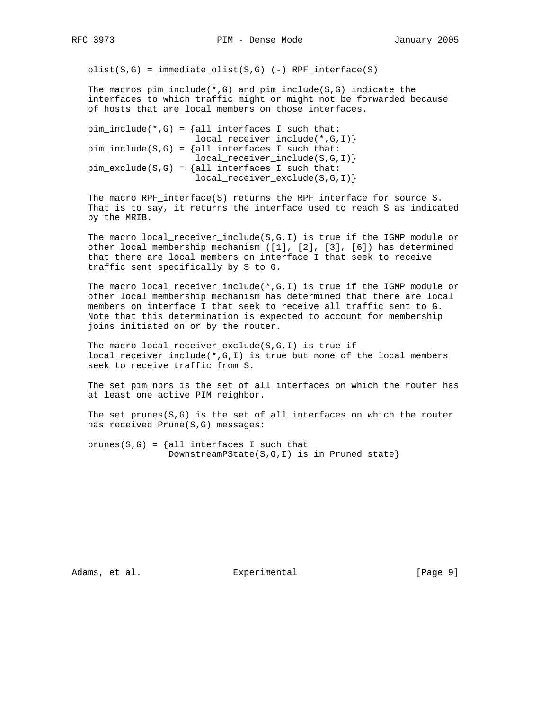$olist(S,G) = immediate\_olist(S,G)$  (-) RPF\_interface(S)

The macros  $pim\_include(*,G)$  and  $pim\_include(S,G)$  indicate the interfaces to which traffic might or might not be forwarded because of hosts that are local members on those interfaces.

```
pim_include(*,G) = \{all interfaces I such that:
                     local_receiver_include(*,G,I)}
pim\_include(S,G) = {all interfaces I such that:}local_receiver_include(S,G,I)}
pim\_exclude(S,G) = \{all interfaces I such that:local_receiver_exclude(S,G,I)}
```
 The macro RPF\_interface(S) returns the RPF interface for source S. That is to say, it returns the interface used to reach S as indicated by the MRIB.

 The macro local\_receiver\_include(S,G,I) is true if the IGMP module or other local membership mechanism ([1], [2], [3], [6]) has determined that there are local members on interface I that seek to receive traffic sent specifically by S to G.

 The macro local\_receiver\_include(\*,G,I) is true if the IGMP module or other local membership mechanism has determined that there are local members on interface I that seek to receive all traffic sent to G. Note that this determination is expected to account for membership joins initiated on or by the router.

 The macro local\_receiver\_exclude(S,G,I) is true if local\_receiver\_include(\*,G,I) is true but none of the local members seek to receive traffic from S.

 The set pim\_nbrs is the set of all interfaces on which the router has at least one active PIM neighbor.

The set  $prunes(S,G)$  is the set of all interfaces on which the router has received Prune(S,G) messages:

prunes( $S, G$ ) = {all interfaces I such that DownstreamPState(S,G,I) is in Pruned state}

Adams, et al. Subsection Experimental Contracts [Page 9]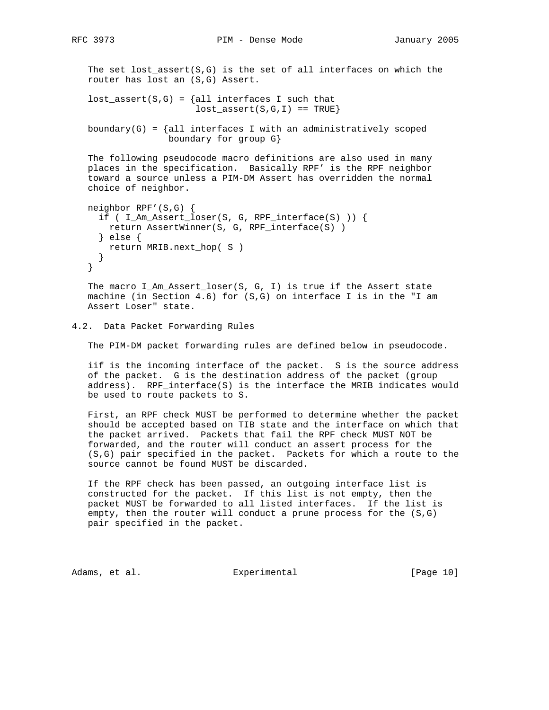The set lost\_assert( $S, G$ ) is the set of all interfaces on which the router has lost an (S,G) Assert.

```
lost\_assert(S,G) = \{all interfaces I such thatlost\_assert(S,G,I) == TRUE
```
boundary(G) =  $\{all$  interfaces I with an administratively scoped boundary for group G}

 The following pseudocode macro definitions are also used in many places in the specification. Basically RPF' is the RPF neighbor toward a source unless a PIM-DM Assert has overridden the normal choice of neighbor.

```
 neighbor RPF'(S,G) {
  if ( I_Am_Assert_loser(S, G, RPF_interface(S) )) {
    return AssertWinner(S, G, RPF_interface(S) )
   } else {
    return MRIB.next_hop( S )
   }
 }
```
 The macro I\_Am\_Assert\_loser(S, G, I) is true if the Assert state machine (in Section 4.6) for (S,G) on interface I is in the "I am Assert Loser" state.

## 4.2. Data Packet Forwarding Rules

The PIM-DM packet forwarding rules are defined below in pseudocode.

 iif is the incoming interface of the packet. S is the source address of the packet. G is the destination address of the packet (group address). RPF\_interface(S) is the interface the MRIB indicates would be used to route packets to S.

 First, an RPF check MUST be performed to determine whether the packet should be accepted based on TIB state and the interface on which that the packet arrived. Packets that fail the RPF check MUST NOT be forwarded, and the router will conduct an assert process for the (S,G) pair specified in the packet. Packets for which a route to the source cannot be found MUST be discarded.

 If the RPF check has been passed, an outgoing interface list is constructed for the packet. If this list is not empty, then the packet MUST be forwarded to all listed interfaces. If the list is empty, then the router will conduct a prune process for the (S,G) pair specified in the packet.

Adams, et al. Subsection Experimental (Page 10)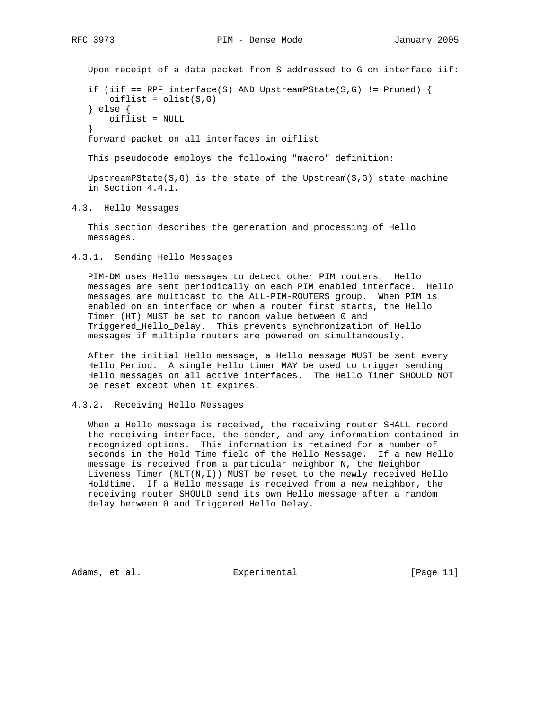Upon receipt of a data packet from S addressed to G on interface iif:

if (iif ==  $RPF\_interface(S)$  AND UpstreamPState(S,G) != Pruned) {  $oiflist = olist(S,G)$  } else { oiflist = NULL }

forward packet on all interfaces in oiflist

This pseudocode employs the following "macro" definition:

UpstreamPState( $S, G$ ) is the state of the Upstream( $S, G$ ) state machine in Section 4.4.1.

4.3. Hello Messages

 This section describes the generation and processing of Hello messages.

4.3.1. Sending Hello Messages

 PIM-DM uses Hello messages to detect other PIM routers. Hello messages are sent periodically on each PIM enabled interface. Hello messages are multicast to the ALL-PIM-ROUTERS group. When PIM is enabled on an interface or when a router first starts, the Hello Timer (HT) MUST be set to random value between 0 and Triggered\_Hello\_Delay. This prevents synchronization of Hello messages if multiple routers are powered on simultaneously.

 After the initial Hello message, a Hello message MUST be sent every Hello\_Period. A single Hello timer MAY be used to trigger sending Hello messages on all active interfaces. The Hello Timer SHOULD NOT be reset except when it expires.

# 4.3.2. Receiving Hello Messages

 When a Hello message is received, the receiving router SHALL record the receiving interface, the sender, and any information contained in recognized options. This information is retained for a number of seconds in the Hold Time field of the Hello Message. If a new Hello message is received from a particular neighbor N, the Neighbor Liveness Timer  $(NLT(N,I))$  MUST be reset to the newly received Hello Holdtime. If a Hello message is received from a new neighbor, the receiving router SHOULD send its own Hello message after a random delay between 0 and Triggered\_Hello\_Delay.

Adams, et al. Subsection Experimental (Page 11)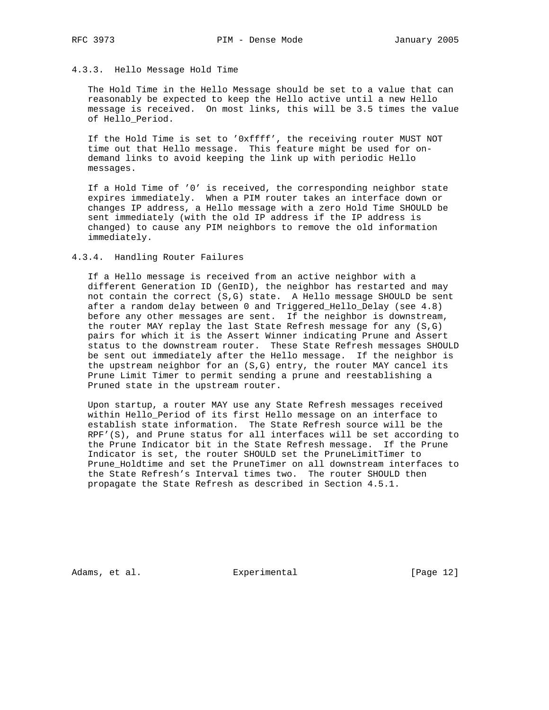## 4.3.3. Hello Message Hold Time

 The Hold Time in the Hello Message should be set to a value that can reasonably be expected to keep the Hello active until a new Hello message is received. On most links, this will be 3.5 times the value of Hello\_Period.

 If the Hold Time is set to '0xffff', the receiving router MUST NOT time out that Hello message. This feature might be used for on demand links to avoid keeping the link up with periodic Hello messages.

 If a Hold Time of '0' is received, the corresponding neighbor state expires immediately. When a PIM router takes an interface down or changes IP address, a Hello message with a zero Hold Time SHOULD be sent immediately (with the old IP address if the IP address is changed) to cause any PIM neighbors to remove the old information immediately.

4.3.4. Handling Router Failures

 If a Hello message is received from an active neighbor with a different Generation ID (GenID), the neighbor has restarted and may not contain the correct (S,G) state. A Hello message SHOULD be sent after a random delay between 0 and Triggered\_Hello\_Delay (see 4.8) before any other messages are sent. If the neighbor is downstream, the router MAY replay the last State Refresh message for any (S,G) pairs for which it is the Assert Winner indicating Prune and Assert status to the downstream router. These State Refresh messages SHOULD be sent out immediately after the Hello message. If the neighbor is the upstream neighbor for an (S,G) entry, the router MAY cancel its Prune Limit Timer to permit sending a prune and reestablishing a Pruned state in the upstream router.

 Upon startup, a router MAY use any State Refresh messages received within Hello\_Period of its first Hello message on an interface to establish state information. The State Refresh source will be the RPF'(S), and Prune status for all interfaces will be set according to the Prune Indicator bit in the State Refresh message. If the Prune Indicator is set, the router SHOULD set the PruneLimitTimer to Prune\_Holdtime and set the PruneTimer on all downstream interfaces to the State Refresh's Interval times two. The router SHOULD then propagate the State Refresh as described in Section 4.5.1.

Adams, et al. Experimental [Page 12]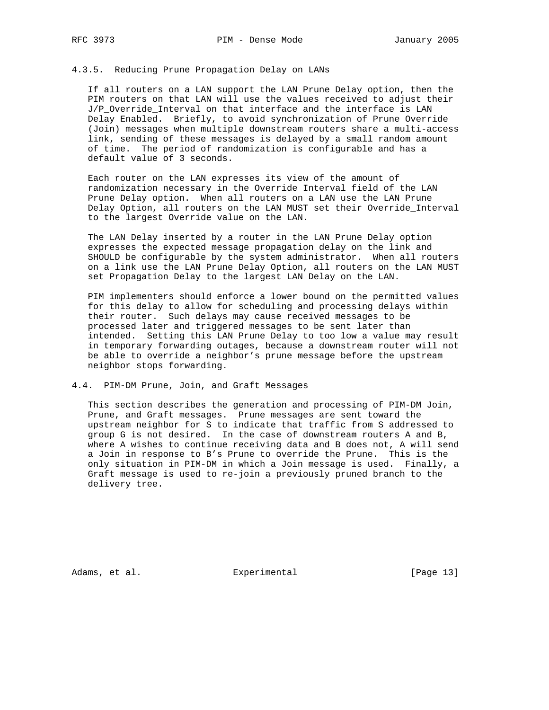# 4.3.5. Reducing Prune Propagation Delay on LANs

 If all routers on a LAN support the LAN Prune Delay option, then the PIM routers on that LAN will use the values received to adjust their J/P\_Override\_Interval on that interface and the interface is LAN Delay Enabled. Briefly, to avoid synchronization of Prune Override (Join) messages when multiple downstream routers share a multi-access link, sending of these messages is delayed by a small random amount of time. The period of randomization is configurable and has a default value of 3 seconds.

 Each router on the LAN expresses its view of the amount of randomization necessary in the Override Interval field of the LAN Prune Delay option. When all routers on a LAN use the LAN Prune Delay Option, all routers on the LAN MUST set their Override\_Interval to the largest Override value on the LAN.

 The LAN Delay inserted by a router in the LAN Prune Delay option expresses the expected message propagation delay on the link and SHOULD be configurable by the system administrator. When all routers on a link use the LAN Prune Delay Option, all routers on the LAN MUST set Propagation Delay to the largest LAN Delay on the LAN.

 PIM implementers should enforce a lower bound on the permitted values for this delay to allow for scheduling and processing delays within their router. Such delays may cause received messages to be processed later and triggered messages to be sent later than intended. Setting this LAN Prune Delay to too low a value may result in temporary forwarding outages, because a downstream router will not be able to override a neighbor's prune message before the upstream neighbor stops forwarding.

#### 4.4. PIM-DM Prune, Join, and Graft Messages

 This section describes the generation and processing of PIM-DM Join, Prune, and Graft messages. Prune messages are sent toward the upstream neighbor for S to indicate that traffic from S addressed to group G is not desired. In the case of downstream routers A and B, where A wishes to continue receiving data and B does not, A will send a Join in response to B's Prune to override the Prune. This is the only situation in PIM-DM in which a Join message is used. Finally, a Graft message is used to re-join a previously pruned branch to the delivery tree.

Adams, et al. Experimental [Page 13]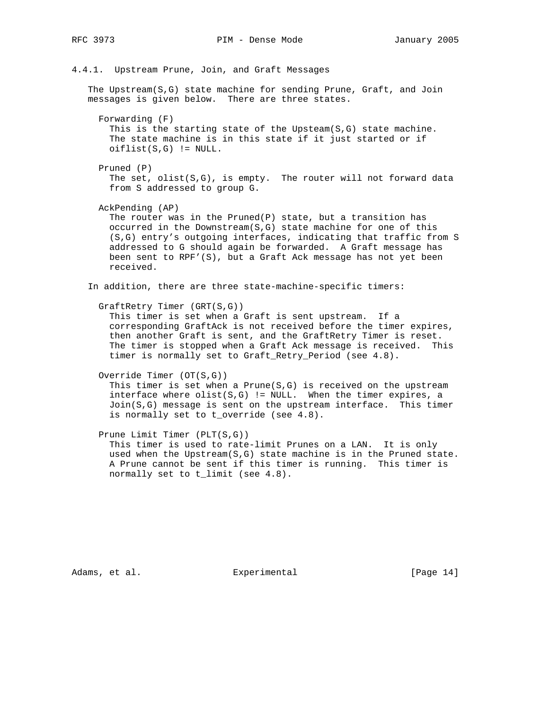# 4.4.1. Upstream Prune, Join, and Graft Messages

 The Upstream(S,G) state machine for sending Prune, Graft, and Join messages is given below. There are three states.

 Forwarding (F) This is the starting state of the Upsteam(S,G) state machine. The state machine is in this state if it just started or if  $oiflist(S,G)$  != NULL.

 Pruned (P) The set,  $olist(S,G)$ , is empty. The router will not forward data from S addressed to group G.

AckPending (AP)

 The router was in the Pruned(P) state, but a transition has occurred in the Downstream(S,G) state machine for one of this (S,G) entry's outgoing interfaces, indicating that traffic from S addressed to G should again be forwarded. A Graft message has been sent to RPF'(S), but a Graft Ack message has not yet been received.

In addition, there are three state-machine-specific timers:

GraftRetry Timer (GRT(S,G))

 This timer is set when a Graft is sent upstream. If a corresponding GraftAck is not received before the timer expires, then another Graft is sent, and the GraftRetry Timer is reset. The timer is stopped when a Graft Ack message is received. This timer is normally set to Graft\_Retry\_Period (see 4.8).

Override Timer (OT(S,G))

This timer is set when a  $Prune(S,G)$  is received on the upstream interface where  $clist(S,G)$  != NULL. When the timer expires, a Join(S,G) message is sent on the upstream interface. This timer is normally set to t\_override (see 4.8).

 Prune Limit Timer (PLT(S,G)) This timer is used to rate-limit Prunes on a LAN. It is only used when the Upstream(S,G) state machine is in the Pruned state. A Prune cannot be sent if this timer is running. This timer is normally set to t\_limit (see 4.8).

Adams, et al. Subsection Experimental Experimental [Page 14]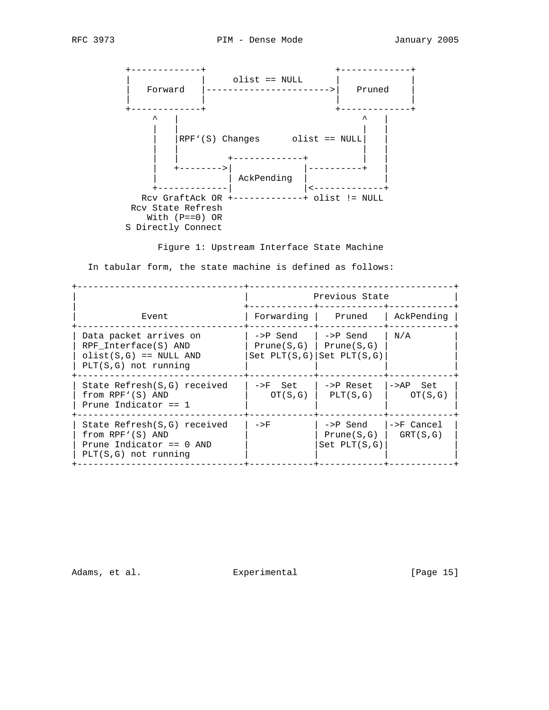

Figure 1: Upstream Interface State Machine

In tabular form, the state machine is defined as follows:

|                                                                                                         |                                                                              | Previous State                             |                        |  |  |  |  |  |  |  |
|---------------------------------------------------------------------------------------------------------|------------------------------------------------------------------------------|--------------------------------------------|------------------------|--|--|--|--|--|--|--|
| Event                                                                                                   | Forwarding Pruned                                                            |                                            | AckPending             |  |  |  |  |  |  |  |
| Data packet arrives on<br>RPF Interface(S) AND<br>$olist(S,G) == NULL AND$<br>$PLT(S,G)$ not running    | ->P Send<br>$Prune(S,G)$   $Prune(S,G)$<br>$Set$ $PLT(S,G)$ $Set$ $PLT(S,G)$ | ->P Send                                   | N/A                    |  |  |  |  |  |  |  |
| State Refresh(S,G) received<br>from RPF'(S) AND<br>Prune Indicator $== 1$                               | ->F Set<br>OT(S,G)                                                           | ->P Reset<br>PLT(S,G)                      | $->AP$ Set<br>OT(S,G)  |  |  |  |  |  |  |  |
| State Refresh(S,G) received<br>from RPF'(S) AND<br>Prune Indicator == $0$ AND<br>$PLT(S,G)$ not running | $->F$                                                                        | ->P Send<br>Prune(S,G)<br>$Set$ $PLT(S,G)$ | ->F Cancel<br>GRT(S,G) |  |  |  |  |  |  |  |

Adams, et al. Subsection Experimental Contracts [Page 15]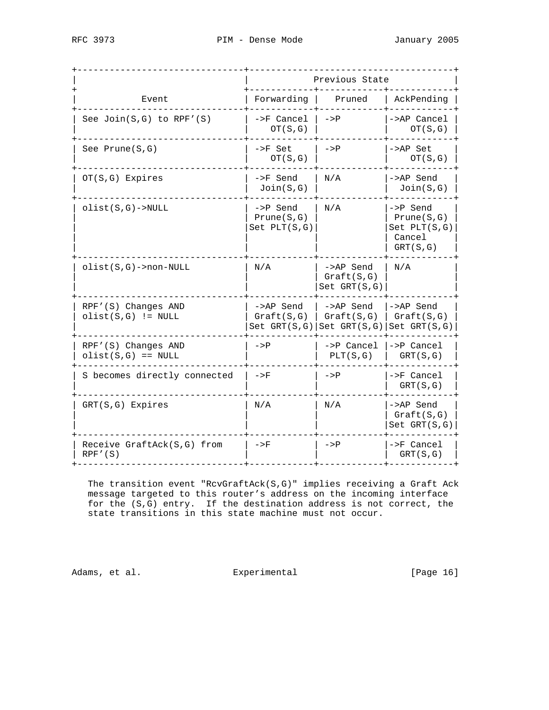| RFC 3973<br>January 2005<br>PIM - Dense Mode |  |
|----------------------------------------------|--|
|----------------------------------------------|--|

|                                             |                                            | Previous State                                                          |                                                                  |
|---------------------------------------------|--------------------------------------------|-------------------------------------------------------------------------|------------------------------------------------------------------|
| Event                                       | Forwarding                                 | Pruned                                                                  | AckPending                                                       |
| See $Join(S,G)$ to $RPF'(S)$                | ->F Cancel<br>OT(S,G)                      | $->P$                                                                   | ->AP Cancel<br>OT(S,G)                                           |
| See Prune $(S,G)$                           | ->F Set<br>OT(S,G)                         | $->P$                                                                   | ->AP Set<br>OT(S,G)                                              |
| $OT(S,G)$ Expires                           | ->F Send<br>Join(S,G)                      | N/A                                                                     | ->AP Send<br>Join(S,G)                                           |
| $clist(S,G)$ ->NULL                         | ->P Send<br>Prune(S,G)<br>$Set$ $PLT(S,G)$ | N/A                                                                     | ->P Send<br>Prune(S,G)<br>$Set$ $PLT(S,G)$<br>Cancel<br>GRT(S,G) |
| $olist(S,G)$ ->non-NULL                     | N/A                                        | ->AP Send<br>Graft(S,G)<br>$Set$ $GRT(S,G)$                             | N/A                                                              |
| RPF'(S) Changes AND<br>$olist(S,G) := NULL$ | ->AP Send<br>Graft(S,G)                    | ->AP Send<br>Graft(S,G)<br>Set $GRT(S,G)$ Set $GRT(S,G)$ Set $GRT(S,G)$ | ->AP Send<br>Graft(S,G)                                          |
| RPF'(S) Changes AND<br>$olist(S,G) == NULL$ | $->P$                                      | $->P$ Cancel<br>PLT(S,G)                                                | $->P$ Cancel<br>GRT(S,G)                                         |
| S becomes directly connected                | $->F$                                      | $->P$                                                                   | ->F Cancel<br>GRT(S,G)                                           |
| $GRT(S,G)$ Expires                          | N/A                                        | N/A                                                                     | ->AP Send<br>Graft(S,G)<br>$Set$ $GRT(S,G)$                      |
| Receive GraftAck(S,G) from<br>RPF' (S)      | $->F$                                      | $->P$                                                                   | $\rightarrow$ F Cancel<br>GRT(S,G)                               |

 The transition event "RcvGraftAck(S,G)" implies receiving a Graft Ack message targeted to this router's address on the incoming interface for the (S,G) entry. If the destination address is not correct, the state transitions in this state machine must not occur.

Adams, et al. Subsection Experimental Experimental [Page 16]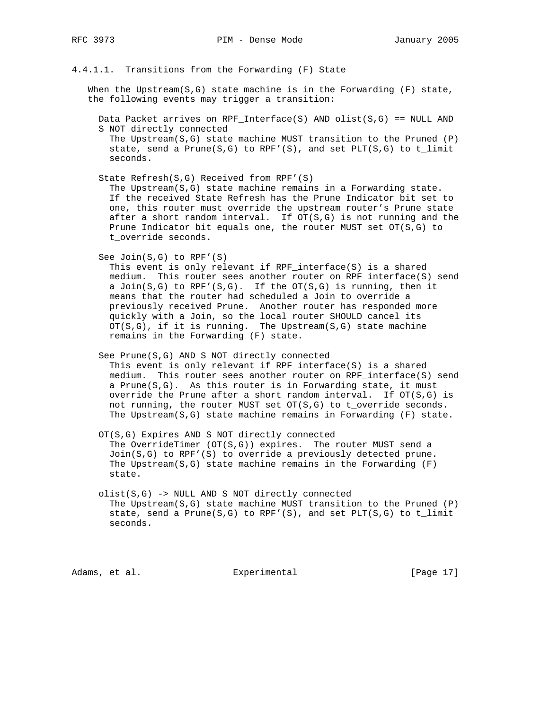# 4.4.1.1. Transitions from the Forwarding (F) State

When the Upstream( $S, G$ ) state machine is in the Forwarding (F) state, the following events may trigger a transition:

 Data Packet arrives on RPF\_Interface(S) AND olist(S,G) == NULL AND S NOT directly connected

The Upstream( $S$ , $G$ ) state machine MUST transition to the Pruned (P) state, send a Prune(S,G) to RPF'(S), and set PLT(S,G) to t\_limit seconds.

State Refresh(S,G) Received from RPF'(S)

 The Upstream(S,G) state machine remains in a Forwarding state. If the received State Refresh has the Prune Indicator bit set to one, this router must override the upstream router's Prune state after a short random interval. If OT(S,G) is not running and the Prune Indicator bit equals one, the router MUST set OT(S,G) to t\_override seconds.

See Join(S,G) to RPF'(S)

 This event is only relevant if RPF\_interface(S) is a shared medium. This router sees another router on RPF\_interface(S) send a Join(S,G) to RPF'(S,G). If the OT(S,G) is running, then it means that the router had scheduled a Join to override a previously received Prune. Another router has responded more quickly with a Join, so the local router SHOULD cancel its  $OT(S,G)$ , if it is running. The Upstream(S,G) state machine remains in the Forwarding (F) state.

 See Prune(S,G) AND S NOT directly connected This event is only relevant if RPF\_interface(S) is a shared medium. This router sees another router on RPF\_interface(S) send a Prune(S,G). As this router is in Forwarding state, it must override the Prune after a short random interval. If OT(S,G) is not running, the router MUST set OT(S,G) to t\_override seconds. The Upstream(S,G) state machine remains in Forwarding (F) state.

 OT(S,G) Expires AND S NOT directly connected The OverrideTimer (OT(S,G)) expires. The router MUST send a Join(S,G) to RPF'(S) to override a previously detected prune. The Upstream( $S$ , $G$ ) state machine remains in the Forwarding (F) state.

 olist(S,G) -> NULL AND S NOT directly connected The Upstream( $S$ , $G$ ) state machine MUST transition to the Pruned (P) state, send a Prune( $S, G$ ) to RPF'( $S$ ), and set PLT( $S, G$ ) to t\_limit seconds.

Adams, et al. Subsection Experimental (Page 17)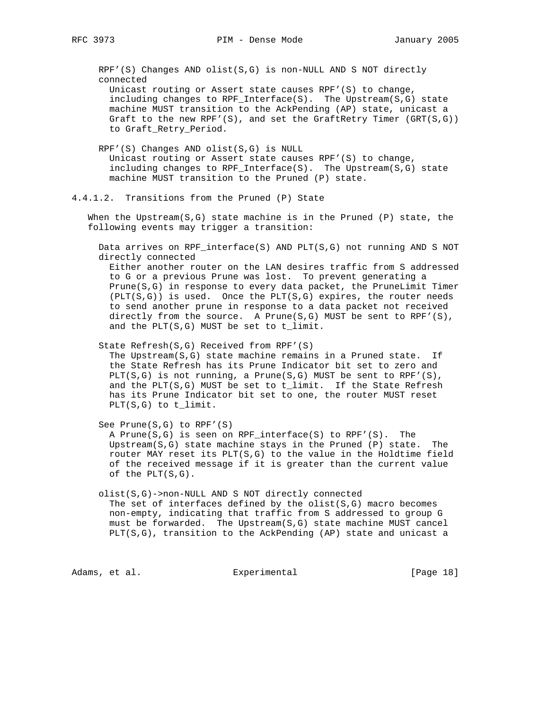RPF'(S) Changes AND olist(S,G) is non-NULL AND S NOT directly connected

 Unicast routing or Assert state causes RPF'(S) to change, including changes to RPF\_Interface(S). The Upstream(S,G) state machine MUST transition to the AckPending (AP) state, unicast a Graft to the new RPF'(S), and set the GraftRetry Timer  $(GRT(S, G))$ to Graft\_Retry\_Period.

 RPF'(S) Changes AND olist(S,G) is NULL Unicast routing or Assert state causes RPF'(S) to change, including changes to RPF\_Interface(S). The Upstream(S,G) state machine MUST transition to the Pruned (P) state.

4.4.1.2. Transitions from the Pruned (P) State

When the Upstream( $S$ , $G$ ) state machine is in the Pruned (P) state, the following events may trigger a transition:

 Data arrives on RPF\_interface(S) AND PLT(S,G) not running AND S NOT directly connected

 Either another router on the LAN desires traffic from S addressed to G or a previous Prune was lost. To prevent generating a Prune(S,G) in response to every data packet, the PruneLimit Timer  $(PLT(S,G))$  is used. Once the PLT(S,G) expires, the router needs to send another prune in response to a data packet not received directly from the source. A Prune( $S,G$ ) MUST be sent to RPF'( $S$ ), and the PLT(S,G) MUST be set to t\_limit.

 State Refresh(S,G) Received from RPF'(S) The Upstream(S,G) state machine remains in a Pruned state. If the State Refresh has its Prune Indicator bit set to zero and PLT(S,G) is not running, a Prune(S,G) MUST be sent to RPF'(S), and the  $PLT(S,G)$  MUST be set to  $t$ \_limit. If the State Refresh has its Prune Indicator bit set to one, the router MUST reset PLT(S,G) to t\_limit.

See Prune(S,G) to RPF'(S)

 A Prune(S,G) is seen on RPF\_interface(S) to RPF'(S). The Upstream(S,G) state machine stays in the Pruned (P) state. The router MAY reset its PLT(S,G) to the value in the Holdtime field of the received message if it is greater than the current value of the  $PLT(S,G)$ .

 olist(S,G)->non-NULL AND S NOT directly connected The set of interfaces defined by the  $\text{dist}(S, G)$  macro becomes non-empty, indicating that traffic from S addressed to group G must be forwarded. The Upstream(S,G) state machine MUST cancel PLT(S,G), transition to the AckPending (AP) state and unicast a

Adams, et al. Subsection Experimental (Page 18)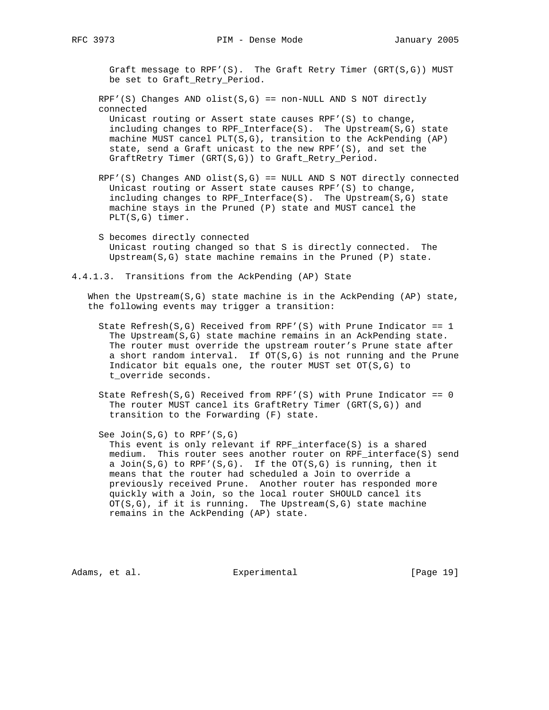Graft message to RPF'(S). The Graft Retry Timer (GRT(S,G)) MUST be set to Graft\_Retry\_Period.

 $RPF'(S)$  Changes AND olist(S,G) == non-NULL AND S NOT directly connected Unicast routing or Assert state causes RPF'(S) to change, including changes to RPF\_Interface(S). The Upstream(S,G) state

 machine MUST cancel PLT(S,G), transition to the AckPending (AP) state, send a Graft unicast to the new RPF'(S), and set the GraftRetry Timer (GRT(S,G)) to Graft\_Retry\_Period.

- $RPF'(S)$  Changes AND olist(S,G) == NULL AND S NOT directly connected Unicast routing or Assert state causes RPF'(S) to change, including changes to RPF\_Interface(S). The Upstream(S,G) state machine stays in the Pruned (P) state and MUST cancel the PLT(S,G) timer.
- S becomes directly connected Unicast routing changed so that S is directly connected. The Upstream(S,G) state machine remains in the Pruned (P) state.
- 4.4.1.3. Transitions from the AckPending (AP) State

When the Upstream( $S, G$ ) state machine is in the AckPending (AP) state, the following events may trigger a transition:

- State Refresh(S,G) Received from RPF'(S) with Prune Indicator == 1 The Upstream(S,G) state machine remains in an AckPending state. The router must override the upstream router's Prune state after a short random interval. If  $OT(S, G)$  is not running and the Prune Indicator bit equals one, the router MUST set OT(S,G) to t\_override seconds.
- State Refresh( $S, G$ ) Received from RPF'( $S$ ) with Prune Indicator == 0 The router MUST cancel its GraftRetry Timer (GRT(S,G)) and transition to the Forwarding (F) state.

 See Join(S,G) to RPF'(S,G) This event is only relevant if RPF\_interface(S) is a shared medium. This router sees another router on RPF interface(S) send a Join(S,G) to RPF'(S,G). If the OT(S,G) is running, then it means that the router had scheduled a Join to override a previously received Prune. Another router has responded more quickly with a Join, so the local router SHOULD cancel its  $OT(S,G)$ , if it is running. The Upstream( $S,G$ ) state machine remains in the AckPending (AP) state.

Adams, et al. Subsection Experimental (Page 19)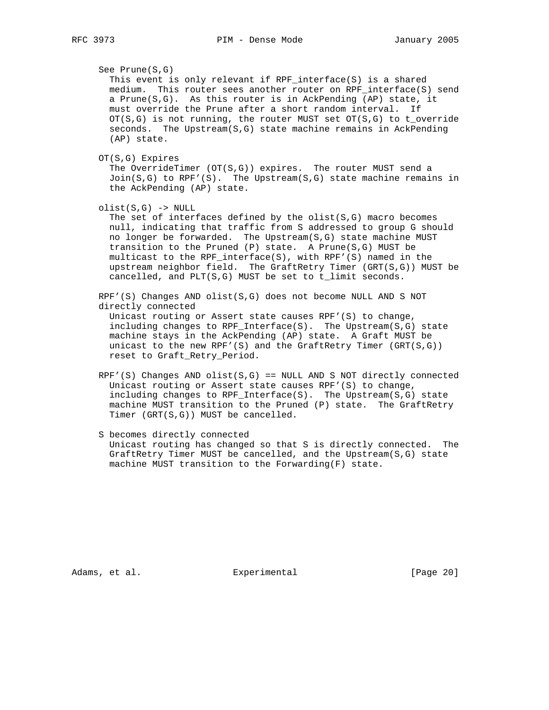See Prune(S,G) This event is only relevant if RPF\_interface(S) is a shared medium. This router sees another router on RPF\_interface(S) send a Prune(S,G). As this router is in AckPending (AP) state, it must override the Prune after a short random interval. If  $OT(S,G)$  is not running, the router MUST set  $OT(S,G)$  to t\_override seconds. The Upstream(S,G) state machine remains in AckPending (AP) state. OT(S,G) Expires The OverrideTimer (OT(S,G)) expires. The router MUST send a  $Join(S,G)$  to RPF'(S). The Upstream(S,G) state machine remains in the AckPending (AP) state.  $olist(S,G)$  -> NULL The set of interfaces defined by the  $olist(S,G)$  macro becomes

 null, indicating that traffic from S addressed to group G should no longer be forwarded. The Upstream(S,G) state machine MUST transition to the Pruned (P) state. A Prune(S,G) MUST be multicast to the RPF\_interface(S), with RPF'(S) named in the upstream neighbor field. The GraftRetry Timer (GRT(S,G)) MUST be cancelled, and PLT(S,G) MUST be set to t\_limit seconds.

 RPF'(S) Changes AND olist(S,G) does not become NULL AND S NOT directly connected

 Unicast routing or Assert state causes RPF'(S) to change, including changes to RPF\_Interface(S). The Upstream(S,G) state machine stays in the AckPending (AP) state. A Graft MUST be unicast to the new RPF'(S) and the GraftRetry Timer (GRT(S,G)) reset to Graft\_Retry\_Period.

 $RPF'(S)$  Changes AND olist(S,G) == NULL AND S NOT directly connected Unicast routing or Assert state causes RPF'(S) to change, including changes to RPF\_Interface(S). The Upstream(S,G) state machine MUST transition to the Pruned (P) state. The GraftRetry Timer (GRT(S,G)) MUST be cancelled.

 S becomes directly connected Unicast routing has changed so that S is directly connected. The GraftRetry Timer MUST be cancelled, and the Upstream(S,G) state machine MUST transition to the Forwarding(F) state.

Adams, et al. Subsection Experimental Experimental [Page 20]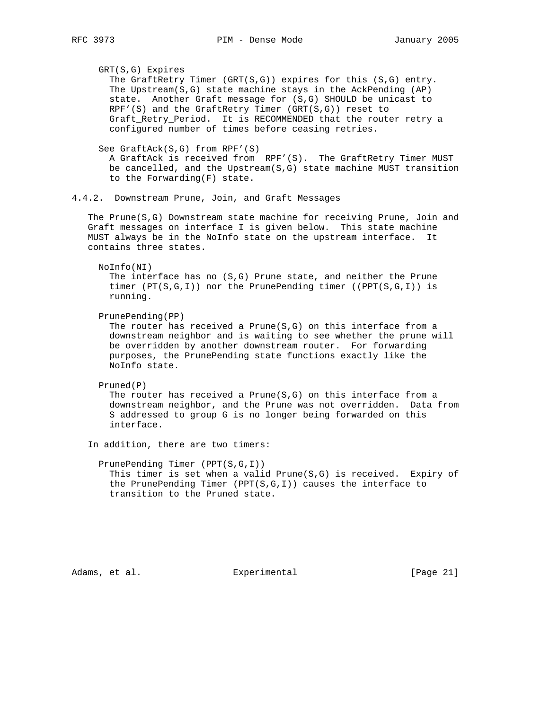GRT(S,G) Expires The GraftRetry Timer  $(GRT(S, G))$  expires for this  $(S, G)$  entry. The Upstream( $S, G$ ) state machine stays in the AckPending (AP) state. Another Graft message for (S,G) SHOULD be unicast to RPF'(S) and the GraftRetry Timer (GRT(S,G)) reset to Graft\_Retry\_Period. It is RECOMMENDED that the router retry a configured number of times before ceasing retries. See GraftAck(S,G) from RPF'(S) A GraftAck is received from RPF'(S). The GraftRetry Timer MUST be cancelled, and the Upstream(S,G) state machine MUST transition to the Forwarding(F) state. 4.4.2. Downstream Prune, Join, and Graft Messages The Prune(S,G) Downstream state machine for receiving Prune, Join and Graft messages on interface I is given below. This state machine MUST always be in the NoInfo state on the upstream interface. It contains three states. NoInfo(NI) The interface has no (S,G) Prune state, and neither the Prune timer  $(PT(S,G,I))$  nor the PrunePending timer  $((PPT(S,G,I)))$  is running. PrunePending(PP) The router has received a Prune( $S, G$ ) on this interface from a downstream neighbor and is waiting to see whether the prune will be overridden by another downstream router. For forwarding purposes, the PrunePending state functions exactly like the NoInfo state. Pruned(P) The router has received a Prune(S,G) on this interface from a downstream neighbor, and the Prune was not overridden. Data from S addressed to group G is no longer being forwarded on this interface. In addition, there are two timers: PrunePending Timer (PPT(S,G,I)) This timer is set when a valid  $Prune(S,G)$  is received. Expiry of the PrunePending Timer (PPT(S,G,I)) causes the interface to transition to the Pruned state.

Adams, et al. Experimental [Page 21]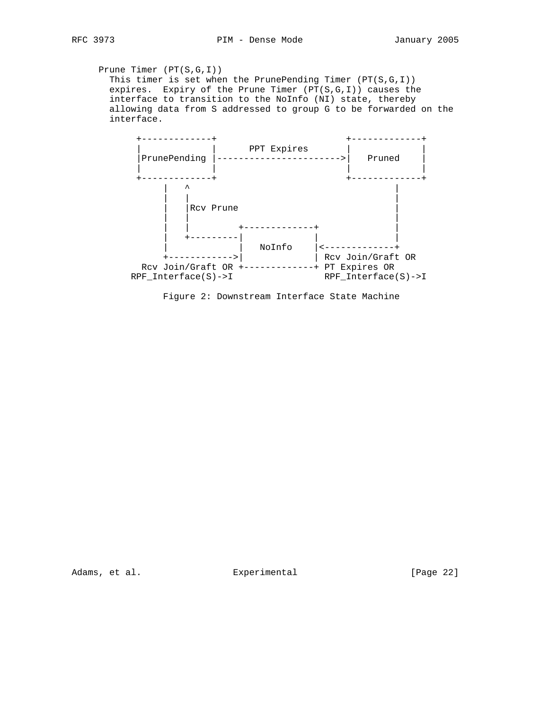Prune Timer (PT(S,G,I)) This timer is set when the PrunePending Timer (PT(S,G,I)) expires. Expiry of the Prune Timer  $(PT(S,G,I))$  causes the interface to transition to the NoInfo (NI) state, thereby allowing data from S addressed to group G to be forwarded on the interface.



Figure 2: Downstream Interface State Machine

Adams, et al. Experimental [Page 22]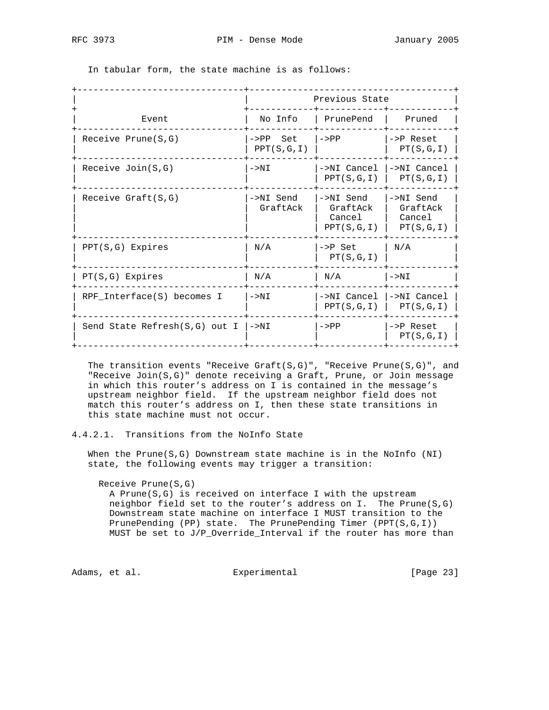|                               |                          | Previous State                                |                                              |
|-------------------------------|--------------------------|-----------------------------------------------|----------------------------------------------|
| Event                         | No Info                  | PrunePend                                     | Pruned                                       |
| Receive Prune(S,G)            | $->PP$ Set<br>PPT(S,G,I) | $->PP$                                        | $->P$ Reset<br>PT(S,G,I)                     |
| Receive $Join(S,G)$           | $->NI$                   | ->NI Cancel<br>PPT(S,G,I)                     | ->NI Cancel<br>PT(S,G,I)                     |
| Receive $Graft(S,G)$          | ->NI Send<br>GraftAck    | ->NI Send<br>GraftAck<br>Cancel<br>PPT(S,G,I) | ->NI Send<br>GraftAck<br>Cancel<br>PT(S,G,I) |
| $PPT(S,G)$ Expires            | N/A                      | ->P Set<br>PT(S,G,I)                          | N/A                                          |
| $PT(S,G)$ Expires             | N/A                      | N/A                                           | $->NI$                                       |
| RPF_Interface(S) becomes I    | $->NI$                   | ->NI Cancel<br>PPT(S,G,I)                     | ->NI Cancel<br>PT(S,G,I)                     |
| Send State Refresh(S,G) out I | $->NI$                   | $->PP$                                        | $->P$ Reset<br>PT(S,G,I)                     |

In tabular form, the state machine is as follows:

The transition events "Receive Graft( $S, G$ )", "Receive Prune( $S, G$ )", and "Receive Join(S,G)" denote receiving a Graft, Prune, or Join message in which this router's address on I is contained in the message's upstream neighbor field. If the upstream neighbor field does not match this router's address on I, then these state transitions in this state machine must not occur.

### 4.4.2.1. Transitions from the NoInfo State

When the Prune( $S$ , $G$ ) Downstream state machine is in the NoInfo (NI) state, the following events may trigger a transition:

#### Receive Prune(S,G)

 A Prune(S,G) is received on interface I with the upstream neighbor field set to the router's address on I. The Prune(S,G) Downstream state machine on interface I MUST transition to the PrunePending (PP) state. The PrunePending Timer (PPT(S,G,I)) MUST be set to J/P\_Override\_Interval if the router has more than

Adams, et al. Subsection Experimental Experimental [Page 23]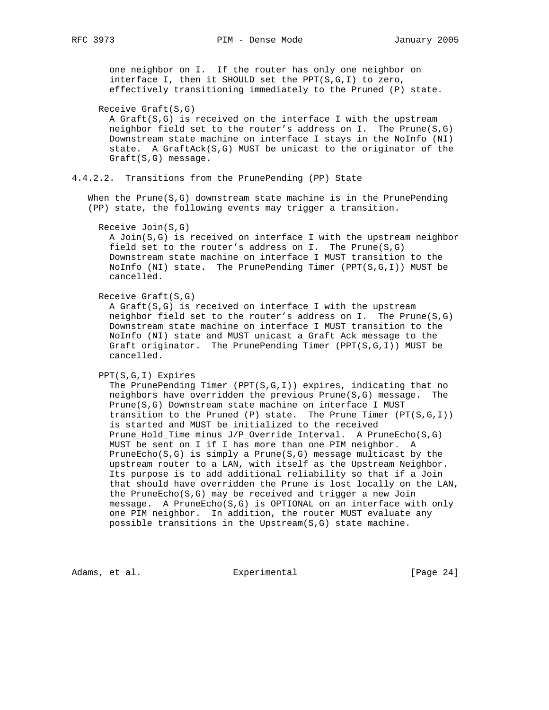one neighbor on I. If the router has only one neighbor on interface I, then it SHOULD set the PPT(S,G,I) to zero, effectively transitioning immediately to the Pruned (P) state.

#### Receive Graft(S,G)

 A Graft(S,G) is received on the interface I with the upstream neighbor field set to the router's address on I. The Prune(S,G) Downstream state machine on interface I stays in the NoInfo (NI) state. A GraftAck(S,G) MUST be unicast to the originator of the Graft(S,G) message.

4.4.2.2. Transitions from the PrunePending (PP) State

When the Prune $(S, G)$  downstream state machine is in the PrunePending (PP) state, the following events may trigger a transition.

## Receive Join(S,G)

 A Join(S,G) is received on interface I with the upstream neighbor field set to the router's address on I. The Prune(S,G) Downstream state machine on interface I MUST transition to the NoInfo (NI) state. The PrunePending Timer (PPT(S,G,I)) MUST be cancelled.

Receive Graft(S,G)

 A Graft(S,G) is received on interface I with the upstream neighbor field set to the router's address on I. The Prune(S,G) Downstream state machine on interface I MUST transition to the NoInfo (NI) state and MUST unicast a Graft Ack message to the Graft originator. The PrunePending Timer (PPT(S,G,I)) MUST be cancelled.

PPT(S,G,I) Expires

The PrunePending Timer (PPT( $S,G,I$ )) expires, indicating that no neighbors have overridden the previous Prune(S,G) message. The Prune(S,G) Downstream state machine on interface I MUST transition to the Pruned (P) state. The Prune Timer  $(PT(S,G,I))$  is started and MUST be initialized to the received Prune\_Hold\_Time minus J/P\_Override\_Interval. A PruneEcho(S,G) MUST be sent on I if I has more than one PIM neighbor. A PruneEcho(S,G) is simply a Prune(S,G) message multicast by the upstream router to a LAN, with itself as the Upstream Neighbor. Its purpose is to add additional reliability so that if a Join that should have overridden the Prune is lost locally on the LAN, the PruneEcho(S,G) may be received and trigger a new Join message. A PruneEcho(S,G) is OPTIONAL on an interface with only one PIM neighbor. In addition, the router MUST evaluate any possible transitions in the Upstream(S,G) state machine.

Adams, et al. Subsection Experimental Experimental [Page 24]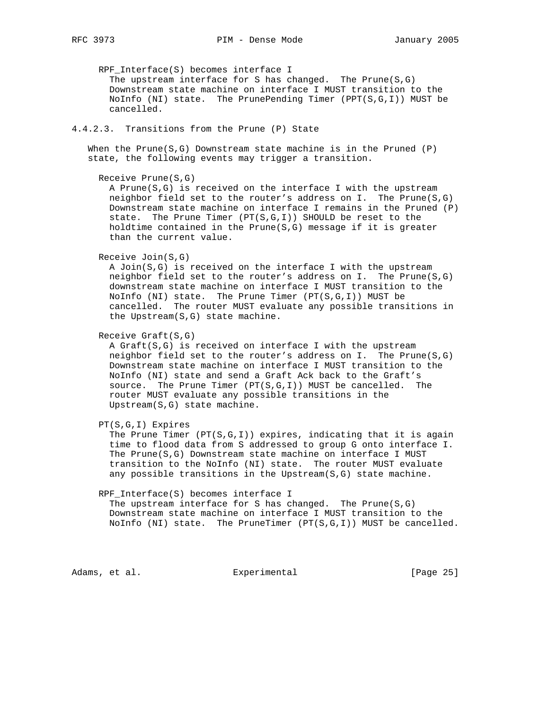RPF\_Interface(S) becomes interface I The upstream interface for S has changed. The Prune(S,G) Downstream state machine on interface I MUST transition to the NoInfo (NI) state. The PrunePending Timer (PPT(S,G,I)) MUST be cancelled.

## 4.4.2.3. Transitions from the Prune (P) State

When the Prune( $S, G$ ) Downstream state machine is in the Pruned (P) state, the following events may trigger a transition.

```
 Receive Prune(S,G)
```
 A Prune(S,G) is received on the interface I with the upstream neighbor field set to the router's address on I. The Prune(S,G) Downstream state machine on interface I remains in the Pruned (P) state. The Prune Timer (PT(S,G,I)) SHOULD be reset to the holdtime contained in the  $Prune(S,G)$  message if it is greater than the current value.

Receive Join(S,G)

 A Join(S,G) is received on the interface I with the upstream neighbor field set to the router's address on I. The Prune(S,G) downstream state machine on interface I MUST transition to the NoInfo (NI) state. The Prune Timer (PT(S,G,I)) MUST be cancelled. The router MUST evaluate any possible transitions in the Upstream(S,G) state machine.

Receive Graft(S,G)

 A Graft(S,G) is received on interface I with the upstream neighbor field set to the router's address on I. The Prune(S,G) Downstream state machine on interface I MUST transition to the NoInfo (NI) state and send a Graft Ack back to the Graft's source. The Prune Timer  $(PT(S,G,I))$  MUST be cancelled. The router MUST evaluate any possible transitions in the Upstream(S,G) state machine.

PT(S,G,I) Expires

The Prune Timer  $(PT(S, G, I))$  expires, indicating that it is again time to flood data from S addressed to group G onto interface I. The Prune(S,G) Downstream state machine on interface I MUST transition to the NoInfo (NI) state. The router MUST evaluate any possible transitions in the Upstream(S,G) state machine.

#### RPF\_Interface(S) becomes interface I

 The upstream interface for S has changed. The Prune(S,G) Downstream state machine on interface I MUST transition to the NoInfo (NI) state. The PruneTimer (PT(S,G,I)) MUST be cancelled.

Adams, et al. Subsection Experimental Experimental [Page 25]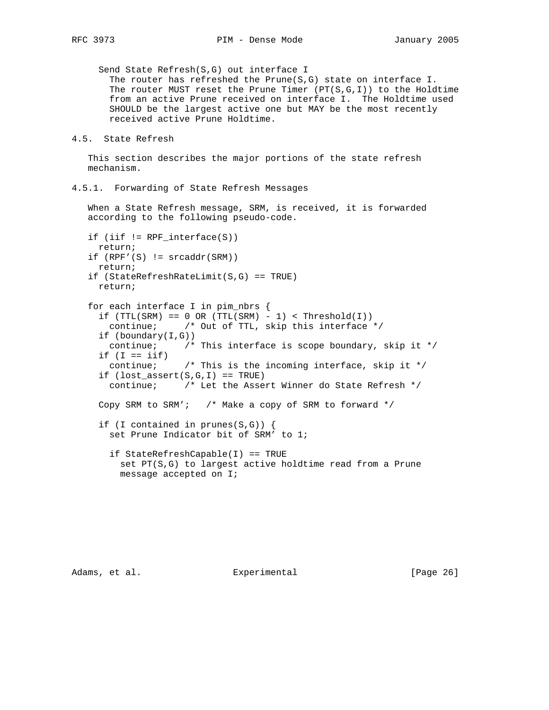Send State Refresh(S,G) out interface I The router has refreshed the Prune( $S, G$ ) state on interface I. The router MUST reset the Prune Timer  $(PT(S,G,I))$  to the Holdtime from an active Prune received on interface I. The Holdtime used SHOULD be the largest active one but MAY be the most recently received active Prune Holdtime.

```
4.5. State Refresh
```
 This section describes the major portions of the state refresh mechanism.

4.5.1. Forwarding of State Refresh Messages

 When a State Refresh message, SRM, is received, it is forwarded according to the following pseudo-code.

```
 if (iif != RPF_interface(S))
  return;
if (RPF'(S) != \nfrac{addr(SRM)}{)} return;
 if (StateRefreshRateLimit(S,G) == TRUE)
  return;
 for each interface I in pim_nbrs {
  if (TTL(SRM) == 0 OR (TTL(SRM) - 1) < Threshold(I))
    continue; /* Out of TTL, skip this interface */
   if (boundary(I,G))
    continue; /* This interface is scope boundary, skip it */
  if (I == iif)continue; \frac{1}{x} /* This is the incoming interface, skip it */
  if (\text{lost\_assert}(S,G,I)) == \text{TRUE}) continue; /* Let the Assert Winner do State Refresh */
   Copy SRM to SRM'; /* Make a copy of SRM to forward */
   if (I contained in prunes(S,G)) {
     set Prune Indicator bit of SRM' to 1;
     if StateRefreshCapable(I) == TRUE
      set PT(S,G) to largest active holdtime read from a Prune
      message accepted on I;
```
Adams, et al. Subsection Experimental (Page 26)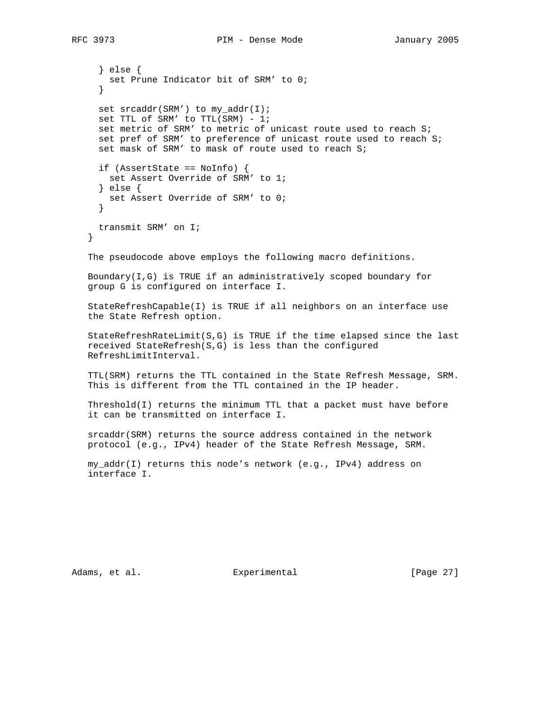} else { set Prune Indicator bit of SRM' to 0; } set srcaddr(SRM') to my\_addr(I); set TTL of SRM' to TTL(SRM) - 1; set metric of SRM' to metric of unicast route used to reach S; set pref of SRM' to preference of unicast route used to reach S; set mask of SRM' to mask of route used to reach S; if (AssertState == NoInfo) { set Assert Override of SRM' to 1; } else { set Assert Override of SRM' to 0; } transmit SRM' on I; } The pseudocode above employs the following macro definitions. Boundary(I,G) is TRUE if an administratively scoped boundary for group G is configured on interface I. StateRefreshCapable(I) is TRUE if all neighbors on an interface use the State Refresh option. StateRefreshRateLimit(S,G) is TRUE if the time elapsed since the last received StateRefresh(S,G) is less than the configured RefreshLimitInterval. TTL(SRM) returns the TTL contained in the State Refresh Message, SRM. This is different from the TTL contained in the IP header. Threshold(I) returns the minimum TTL that a packet must have before it can be transmitted on interface I. srcaddr(SRM) returns the source address contained in the network protocol (e.g., IPv4) header of the State Refresh Message, SRM.

 my\_addr(I) returns this node's network (e.g., IPv4) address on interface I.

Adams, et al. Subsection Experimental (Page 27)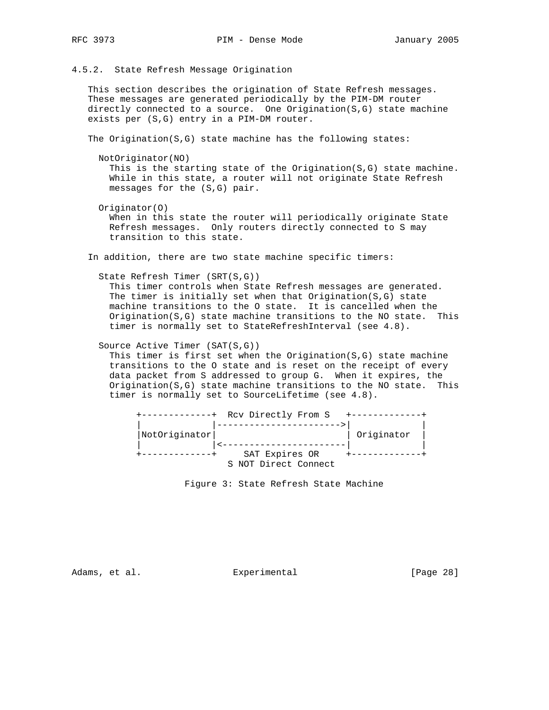4.5.2. State Refresh Message Origination

 This section describes the origination of State Refresh messages. These messages are generated periodically by the PIM-DM router directly connected to a source. One Origination(S,G) state machine exists per (S,G) entry in a PIM-DM router.

The Origination( $S, G$ ) state machine has the following states:

```
 NotOriginator(NO)
```
 This is the starting state of the Origination(S,G) state machine. While in this state, a router will not originate State Refresh messages for the (S,G) pair.

 Originator(O) When in this state the router will periodically originate State Refresh messages. Only routers directly connected to S may transition to this state.

In addition, there are two state machine specific timers:

```
 State Refresh Timer (SRT(S,G))
```
 This timer controls when State Refresh messages are generated. The timer is initially set when that  $Original(S, G)$  state machine transitions to the O state. It is cancelled when the Origination(S,G) state machine transitions to the NO state. This timer is normally set to StateRefreshInterval (see 4.8).

Source Active Timer (SAT(S,G))

This timer is first set when the Origination $(S, G)$  state machine transitions to the O state and is reset on the receipt of every data packet from S addressed to group G. When it expires, the Origination(S,G) state machine transitions to the NO state. This timer is normally set to SourceLifetime (see 4.8).



Figure 3: State Refresh State Machine

Adams, et al. Subsection Experimental (Page 28)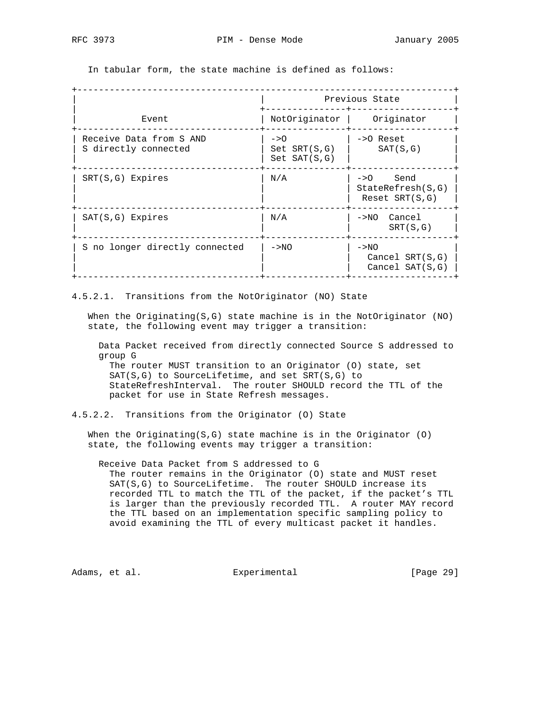In tabular form, the state machine is defined as follows:

|                                                 | Previous State                                                |                                                   |  |  |  |  |  |  |
|-------------------------------------------------|---------------------------------------------------------------|---------------------------------------------------|--|--|--|--|--|--|
| Event                                           | NotOriginator                                                 | Originator                                        |  |  |  |  |  |  |
| Receive Data from S AND<br>S directly connected | $\rightarrow$ $\circ$<br>$Set$ $SRT(S,G)$<br>$Set$ $SAT(S,G)$ | $\rightarrow$ $\circ$ Reset<br>SAT(S,G)           |  |  |  |  |  |  |
| $SRT(S,G)$ Expires                              | N/A                                                           | ->0 Send<br>StateRefresh(S,G)<br>Reset $SRT(S,G)$ |  |  |  |  |  |  |
| $SAT(S,G)$ Expires                              | N/A                                                           | Cancel<br>$->NO$<br>SRT(S,G)                      |  |  |  |  |  |  |
| S no longer directly connected                  | $->NO$                                                        | $->NO$<br>Cancel $SRT(S,G)$<br>Cancel $SAT(S,G)$  |  |  |  |  |  |  |

4.5.2.1. Transitions from the NotOriginator (NO) State

 When the Originating(S,G) state machine is in the NotOriginator (NO) state, the following event may trigger a transition:

 Data Packet received from directly connected Source S addressed to group G

 The router MUST transition to an Originator (O) state, set SAT(S,G) to SourceLifetime, and set SRT(S,G) to StateRefreshInterval. The router SHOULD record the TTL of the packet for use in State Refresh messages.

4.5.2.2. Transitions from the Originator (O) State

 When the Originating(S,G) state machine is in the Originator (O) state, the following events may trigger a transition:

 Receive Data Packet from S addressed to G The router remains in the Originator (O) state and MUST reset SAT(S,G) to SourceLifetime. The router SHOULD increase its recorded TTL to match the TTL of the packet, if the packet's TTL is larger than the previously recorded TTL. A router MAY record the TTL based on an implementation specific sampling policy to avoid examining the TTL of every multicast packet it handles.

Adams, et al. Experimental [Page 29]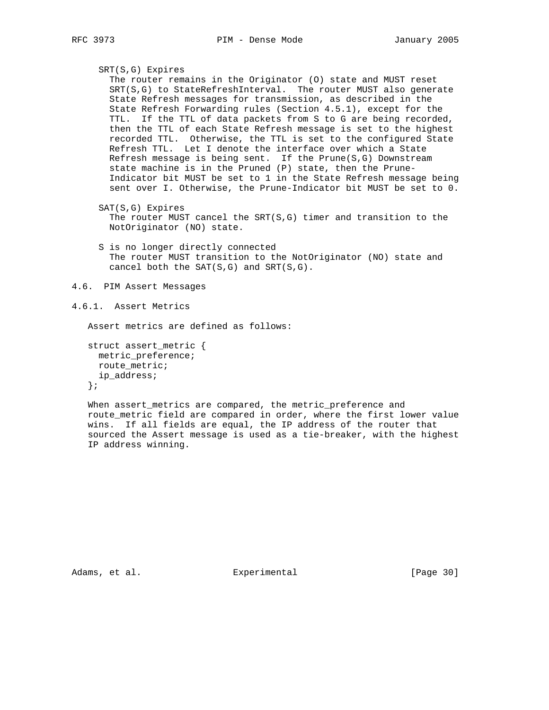```
 SRT(S,G) Expires
   The router remains in the Originator (O) state and MUST reset
   SRT(S,G) to StateRefreshInterval. The router MUST also generate
   State Refresh messages for transmission, as described in the
   State Refresh Forwarding rules (Section 4.5.1), except for the
  TTL. If the TTL of data packets from S to G are being recorded,
  then the TTL of each State Refresh message is set to the highest
  recorded TTL. Otherwise, the TTL is set to the configured State
  Refresh TTL. Let I denote the interface over which a State
  Refresh message is being sent. If the Prune(S,G) Downstream
  state machine is in the Pruned (P) state, then the Prune-
  Indicator bit MUST be set to 1 in the State Refresh message being
  sent over I. Otherwise, the Prune-Indicator bit MUST be set to 0.
 SAT(S,G) Expires
  The router MUST cancel the SRT(S, G) timer and transition to the
```
NotOriginator (NO) state.

 S is no longer directly connected The router MUST transition to the NotOriginator (NO) state and cancel both the  $SAT(S,G)$  and  $SRT(S,G)$ .

```
4.6. PIM Assert Messages
```

```
4.6.1. Assert Metrics
```
Assert metrics are defined as follows:

```
 struct assert_metric {
 metric_preference;
 route metric;
  ip_address;
 };
```
 When assert\_metrics are compared, the metric\_preference and route\_metric field are compared in order, where the first lower value wins. If all fields are equal, the IP address of the router that sourced the Assert message is used as a tie-breaker, with the highest IP address winning.

Adams, et al. Subsection Experimental (Page 30)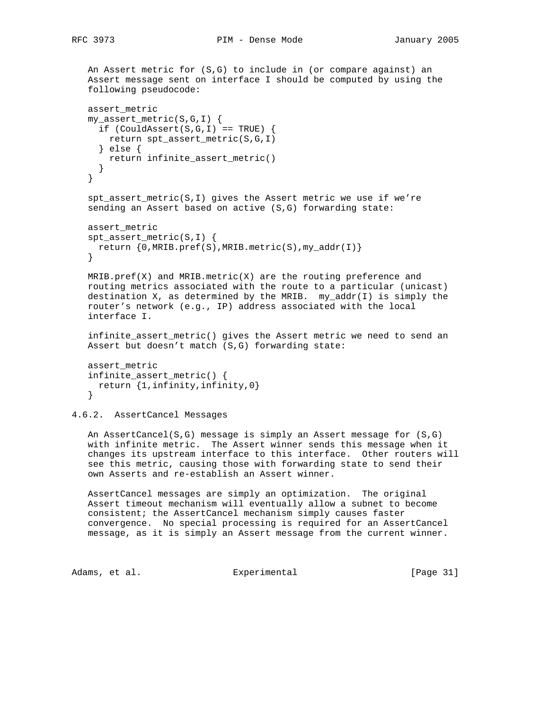An Assert metric for (S,G) to include in (or compare against) an Assert message sent on interface I should be computed by using the following pseudocode:

```
 assert_metric
 my_assert_metric(S,G,I) {
 if (CouldAssert(S,G,I) == TRUE) {
    return spt_assert_metric(S,G,I)
   } else {
    return infinite_assert_metric()
   }
 }
 spt_assert_metric(S,I) gives the Assert metric we use if we're
 sending an Assert based on active (S,G) forwarding state:
 assert_metric
 spt_assert_metric(S,I) {
  return {0,MRIB.pref(S),MRIB.metric(S),my_addr(I)}
 }
MRIB.pref(X) and MRIB.metric(X) are the routing preference and
 routing metrics associated with the route to a particular (unicast)
destination X, as determined by the MRIB. my\_addr(I) is simply the
 router's network (e.g., IP) address associated with the local
 interface I.
 infinite_assert_metric() gives the Assert metric we need to send an
 Assert but doesn't match (S,G) forwarding state:
 assert_metric
```

```
 infinite_assert_metric() {
  return {1,infinity,infinity,0}
 }
```
4.6.2. AssertCancel Messages

 An AssertCancel(S,G) message is simply an Assert message for (S,G) with infinite metric. The Assert winner sends this message when it changes its upstream interface to this interface. Other routers will see this metric, causing those with forwarding state to send their own Asserts and re-establish an Assert winner.

 AssertCancel messages are simply an optimization. The original Assert timeout mechanism will eventually allow a subnet to become consistent; the AssertCancel mechanism simply causes faster convergence. No special processing is required for an AssertCancel message, as it is simply an Assert message from the current winner.

Adams, et al. Experimental [Page 31]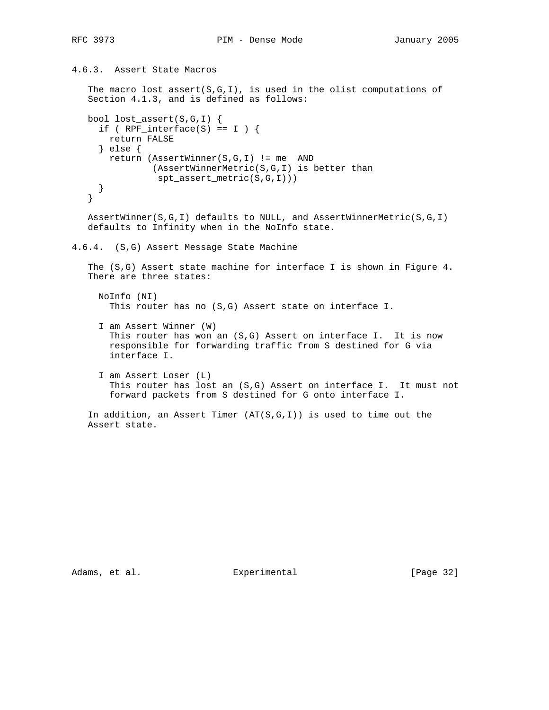```
4.6.3. Assert State Macros
```
The macro lost\_assert( $S, G, I$ ), is used in the olist computations of Section 4.1.3, and is defined as follows:

```
 bool lost_assert(S,G,I) {
 if ( RPF_interface(S) == I ) {
    return FALSE
   } else {
    return (AssertWinner(S,G,I) != me AND
             (AssertWinnerMetric(S,G,I) is better than
              spt_assert_metric(S,G,I)))
   }
 }
```
 AssertWinner(S,G,I) defaults to NULL, and AssertWinnerMetric(S,G,I) defaults to Infinity when in the NoInfo state.

```
4.6.4. (S,G) Assert Message State Machine
```
 The (S,G) Assert state machine for interface I is shown in Figure 4. There are three states:

```
 NoInfo (NI)
   This router has no (S,G) Assert state on interface I.
```
- I am Assert Winner (W) This router has won an (S,G) Assert on interface I. It is now responsible for forwarding traffic from S destined for G via interface I.
- I am Assert Loser (L) This router has lost an (S,G) Assert on interface I. It must not forward packets from S destined for G onto interface I.

```
In addition, an Assert Timer (AT(S, G, I)) is used to time out the
 Assert state.
```
Adams, et al. Subsection Experimental (Page 32)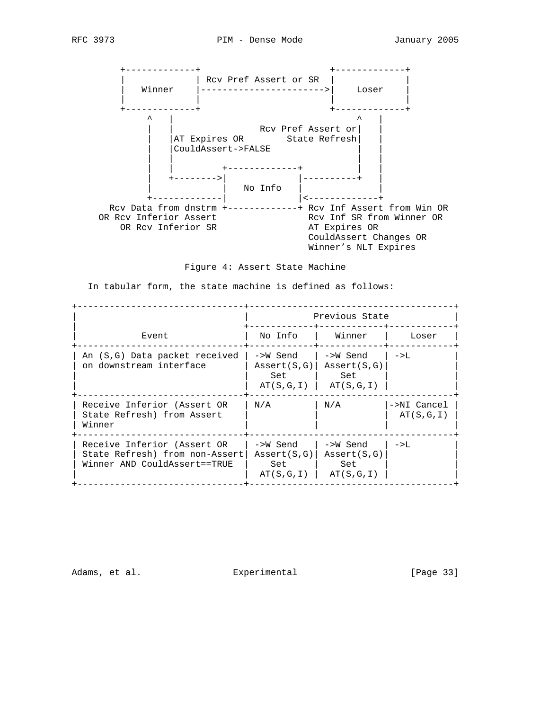

Figure 4: Assert State Machine

In tabular form, the state machine is defined as follows:

|                                                                                               |                                                      | Previous State                                        |                          |
|-----------------------------------------------------------------------------------------------|------------------------------------------------------|-------------------------------------------------------|--------------------------|
| Event                                                                                         | No Info                                              | Winner                                                | Loser                    |
| An (S,G) Data packet received<br>on downstream interface                                      | ->W Send<br>$\text{assert}(S,G)$<br>Set<br>AT(S,G,I) | ->W Send<br>$\text{assert}(S,G)$<br>Set<br>AT(S,G,I)  | $->L$                    |
| Receive Inferior (Assert OR<br>State Refresh) from Assert<br>Winner                           | N/A                                                  | N/A                                                   | ->NI Cancel<br>AT(S,G,I) |
| Receive Inferior (Assert OR<br>State Refresh) from non-Assert<br>Winner AND CouldAssert==TRUE | ->W Send<br>$\text{assert}(S,G)$<br>Set<br>AT(S,G,I) | ->W Send<br>$\text{assert}(S, G)$<br>Set<br>AT(S,G,I) | $->L$                    |

Adams, et al. Subsection Experimental Experimental [Page 33]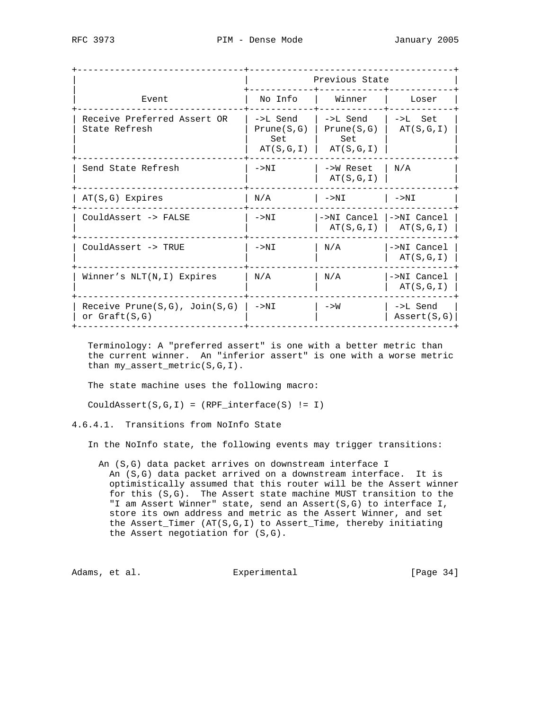| Previous State                             |                                                       |
|--------------------------------------------|-------------------------------------------------------|
| Winner                                     | Loser                                                 |
| ->L Send<br>Prune(S,G)<br>Set<br>AT(S,G,I) | $->L$ Set<br>AT(S,G,I)                                |
| ->W Reset<br>AT(S,G,I)                     | N/A                                                   |
| $->NI$                                     | $->NI$                                                |
| ->NI Cancel I->NI Cancel                   | $AT(S,G,I)$   $AT(S,G,I)$                             |
| N/A                                        | $->NI$ Cancel<br>AT(S,G,I)                            |
| N/A                                        | ->NI Cancel<br>AT(S,G,I)                              |
| $->W$                                      | ->L Send<br>$\text{assert}(S,G)$                      |
|                                            | No Info<br>->L Send<br>Prune(S,G)<br>Set<br>AT(S,G,I) |

 Terminology: A "preferred assert" is one with a better metric than the current winner. An "inferior assert" is one with a worse metric than my\_assert\_metric(S,G,I).

The state machine uses the following macro:

CouldAssert(S,G,I) = (RPF\_interface(S) != I)

4.6.4.1. Transitions from NoInfo State

In the NoInfo state, the following events may trigger transitions:

 An (S,G) data packet arrives on downstream interface I An (S,G) data packet arrived on a downstream interface. It is optimistically assumed that this router will be the Assert winner for this (S,G). The Assert state machine MUST transition to the "I am Assert Winner" state, send an Assert(S,G) to interface I, store its own address and metric as the Assert Winner, and set the Assert\_Timer (AT(S,G,I) to Assert\_Time, thereby initiating the Assert negotiation for (S,G).

Adams, et al. Subsection Experimental (Page 34)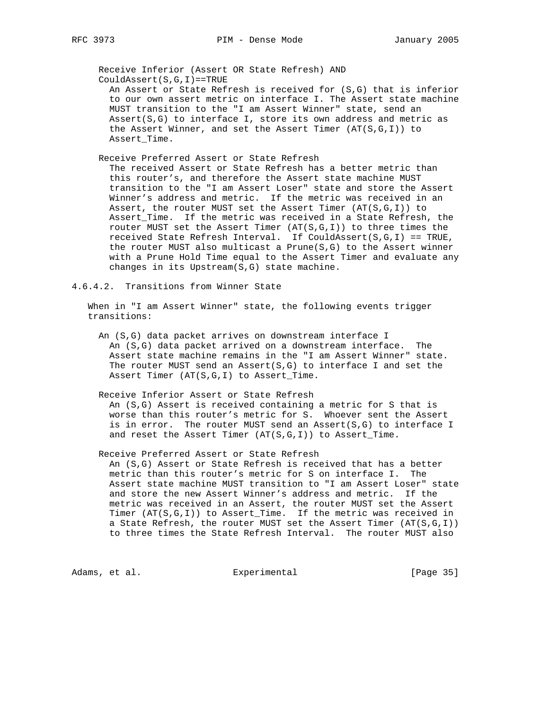Receive Inferior (Assert OR State Refresh) AND CouldAssert(S,G,I)==TRUE

 An Assert or State Refresh is received for (S,G) that is inferior to our own assert metric on interface I. The Assert state machine MUST transition to the "I am Assert Winner" state, send an Assert( $S, G$ ) to interface I, store its own address and metric as the Assert Winner, and set the Assert Timer (AT(S,G,I)) to Assert\_Time.

Receive Preferred Assert or State Refresh

 The received Assert or State Refresh has a better metric than this router's, and therefore the Assert state machine MUST transition to the "I am Assert Loser" state and store the Assert Winner's address and metric. If the metric was received in an Assert, the router MUST set the Assert Timer  $(AT(S,G,I))$  to Assert\_Time. If the metric was received in a State Refresh, the router MUST set the Assert Timer  $(AT(S,G,I))$  to three times the received State Refresh Interval. If CouldAssert(S,G,I) == TRUE, the router MUST also multicast a Prune(S,G) to the Assert winner with a Prune Hold Time equal to the Assert Timer and evaluate any changes in its Upstream(S,G) state machine.

4.6.4.2. Transitions from Winner State

 When in "I am Assert Winner" state, the following events trigger transitions:

 An (S,G) data packet arrives on downstream interface I An (S,G) data packet arrived on a downstream interface. The Assert state machine remains in the "I am Assert Winner" state. The router MUST send an Assert( $S, G$ ) to interface I and set the Assert Timer (AT(S,G,I) to Assert\_Time.

Receive Inferior Assert or State Refresh

 An (S,G) Assert is received containing a metric for S that is worse than this router's metric for S. Whoever sent the Assert is in error. The router MUST send an Assert(S,G) to interface I and reset the Assert Timer  $(AT(S,G,I))$  to Assert\_Time.

Receive Preferred Assert or State Refresh

 An (S,G) Assert or State Refresh is received that has a better metric than this router's metric for S on interface I. The Assert state machine MUST transition to "I am Assert Loser" state and store the new Assert Winner's address and metric. If the metric was received in an Assert, the router MUST set the Assert Timer (AT(S,G,I)) to Assert\_Time. If the metric was received in a State Refresh, the router MUST set the Assert Timer  $(AT(S,G,I))$ to three times the State Refresh Interval. The router MUST also

Adams, et al. Subsection Experimental (Page 35)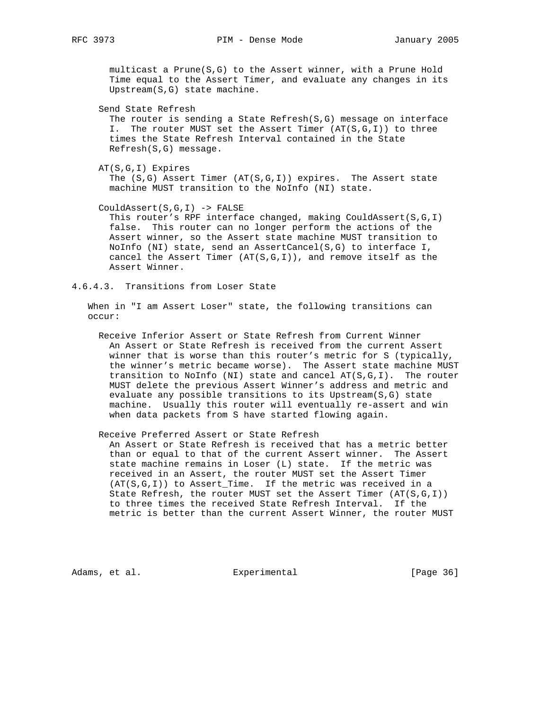multicast a Prune(S,G) to the Assert winner, with a Prune Hold Time equal to the Assert Timer, and evaluate any changes in its Upstream(S,G) state machine.

Send State Refresh

 The router is sending a State Refresh(S,G) message on interface I. The router MUST set the Assert Timer (AT(S,G,I)) to three times the State Refresh Interval contained in the State Refresh(S,G) message.

AT(S,G,I) Expires

 The (S,G) Assert Timer (AT(S,G,I)) expires. The Assert state machine MUST transition to the NoInfo (NI) state.

CouldAssert(S,G,I) -> FALSE

This router's RPF interface changed, making CouldAssert(S,G,I) false. This router can no longer perform the actions of the Assert winner, so the Assert state machine MUST transition to NoInfo (NI) state, send an AssertCancel(S,G) to interface I, cancel the Assert Timer  $(AT(S,G,I))$ , and remove itself as the Assert Winner.

4.6.4.3. Transitions from Loser State

 When in "I am Assert Loser" state, the following transitions can occur:

 Receive Inferior Assert or State Refresh from Current Winner An Assert or State Refresh is received from the current Assert winner that is worse than this router's metric for S (typically, the winner's metric became worse). The Assert state machine MUST transition to NoInfo (NI) state and cancel AT(S,G,I). The router MUST delete the previous Assert Winner's address and metric and evaluate any possible transitions to its Upstream(S,G) state machine. Usually this router will eventually re-assert and win when data packets from S have started flowing again.

Receive Preferred Assert or State Refresh

 An Assert or State Refresh is received that has a metric better than or equal to that of the current Assert winner. The Assert state machine remains in Loser (L) state. If the metric was received in an Assert, the router MUST set the Assert Timer (AT(S,G,I)) to Assert\_Time. If the metric was received in a State Refresh, the router MUST set the Assert Timer  $(AT(S, G, I))$  to three times the received State Refresh Interval. If the metric is better than the current Assert Winner, the router MUST

Adams, et al. Subsection Experimental Contracts [Page 36]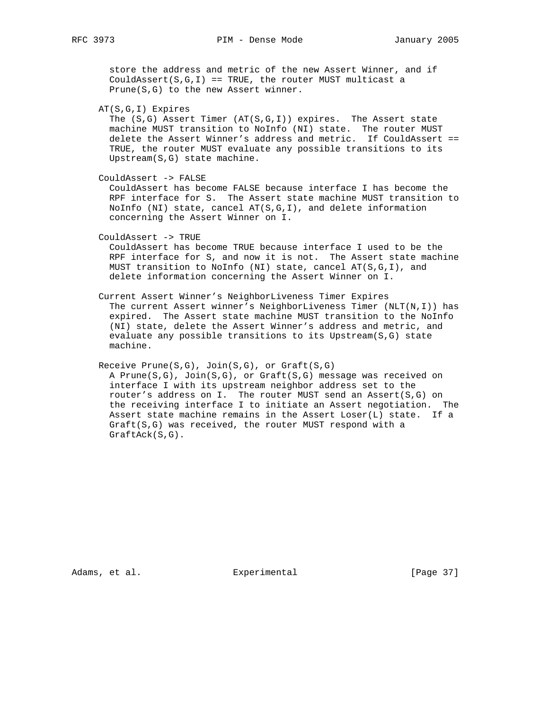store the address and metric of the new Assert Winner, and if CouldAssert $(S,G,I)$  == TRUE, the router MUST multicast a Prune(S,G) to the new Assert winner.

AT(S,G,I) Expires

The  $(S,G)$  Assert Timer  $(AT(S,G,I))$  expires. The Assert state machine MUST transition to NoInfo (NI) state. The router MUST delete the Assert Winner's address and metric. If CouldAssert == TRUE, the router MUST evaluate any possible transitions to its Upstream(S,G) state machine.

CouldAssert -> FALSE

 CouldAssert has become FALSE because interface I has become the RPF interface for S. The Assert state machine MUST transition to NoInfo (NI) state, cancel AT(S,G,I), and delete information concerning the Assert Winner on I.

CouldAssert -> TRUE

 CouldAssert has become TRUE because interface I used to be the RPF interface for S, and now it is not. The Assert state machine MUST transition to NoInfo (NI) state, cancel AT(S,G,I), and delete information concerning the Assert Winner on I.

Current Assert Winner's NeighborLiveness Timer Expires

 The current Assert winner's NeighborLiveness Timer (NLT(N,I)) has expired. The Assert state machine MUST transition to the NoInfo (NI) state, delete the Assert Winner's address and metric, and evaluate any possible transitions to its Upstream(S,G) state machine.

Receive Prune(S,G), Join(S,G), or Graft(S,G)

 A Prune(S,G), Join(S,G), or Graft(S,G) message was received on interface I with its upstream neighbor address set to the router's address on I. The router MUST send an Assert(S,G) on the receiving interface I to initiate an Assert negotiation. The Assert state machine remains in the Assert Loser(L) state. If a Graft(S,G) was received, the router MUST respond with a GraftAck(S,G).

Adams, et al. Experimental Experimental [Page 37]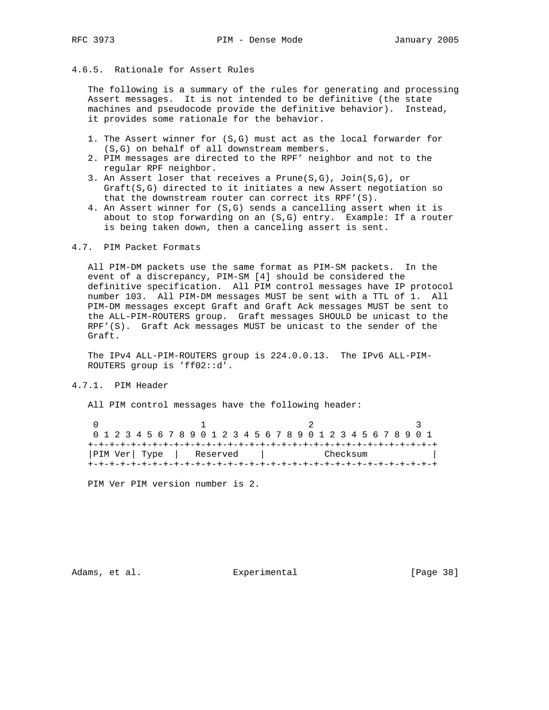# 4.6.5. Rationale for Assert Rules

 The following is a summary of the rules for generating and processing Assert messages. It is not intended to be definitive (the state machines and pseudocode provide the definitive behavior). Instead, it provides some rationale for the behavior.

- 1. The Assert winner for (S,G) must act as the local forwarder for (S,G) on behalf of all downstream members.
- 2. PIM messages are directed to the RPF' neighbor and not to the regular RPF neighbor.
- 3. An Assert loser that receives a Prune(S,G), Join(S,G), or Graft(S,G) directed to it initiates a new Assert negotiation so that the downstream router can correct its RPF'(S).
- 4. An Assert winner for (S,G) sends a cancelling assert when it is about to stop forwarding on an (S,G) entry. Example: If a router is being taken down, then a canceling assert is sent.

## 4.7. PIM Packet Formats

 All PIM-DM packets use the same format as PIM-SM packets. In the event of a discrepancy, PIM-SM [4] should be considered the definitive specification. All PIM control messages have IP protocol number 103. All PIM-DM messages MUST be sent with a TTL of 1. All PIM-DM messages except Graft and Graft Ack messages MUST be sent to the ALL-PIM-ROUTERS group. Graft messages SHOULD be unicast to the RPF'(S). Graft Ack messages MUST be unicast to the sender of the Graft.

 The IPv4 ALL-PIM-ROUTERS group is 224.0.0.13. The IPv6 ALL-PIM- ROUTERS group is 'ff02::d'.

## 4.7.1. PIM Header

All PIM control messages have the following header:

0  $1$  2 3 0 1 2 3 4 5 6 7 8 9 0 1 2 3 4 5 6 7 8 9 0 1 2 3 4 5 6 7 8 9 0 1 +-+-+-+-+-+-+-+-+-+-+-+-+-+-+-+-+-+-+-+-+-+-+-+-+-+-+-+-+-+-+-+-+ |PIM Ver| Type | Reserved | Checksum | +-+-+-+-+-+-+-+-+-+-+-+-+-+-+-+-+-+-+-+-+-+-+-+-+-+-+-+-+-+-+-+-+

PIM Ver PIM version number is 2.

Adams, et al. Subsection Experimental Experimental [Page 38]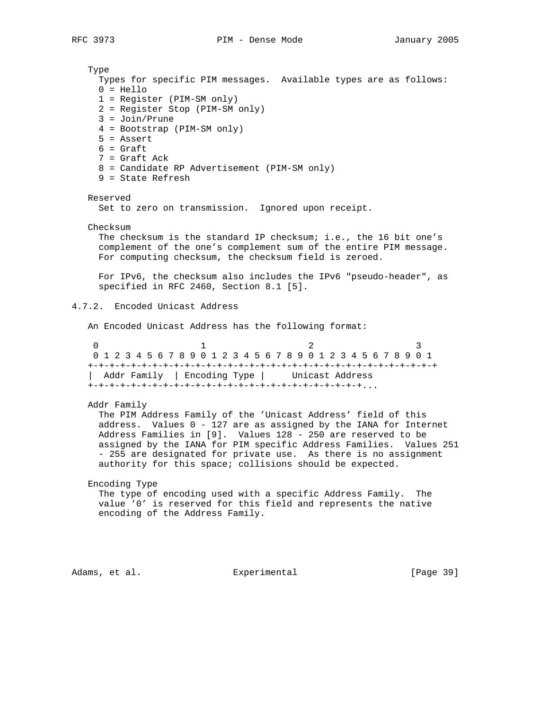Type Types for specific PIM messages. Available types are as follows:  $0 = Hello$  1 = Register (PIM-SM only) 2 = Register Stop (PIM-SM only) 3 = Join/Prune 4 = Bootstrap (PIM-SM only) 5 = Assert  $6 =$  Graft 7 = Graft Ack 8 = Candidate RP Advertisement (PIM-SM only) 9 = State Refresh Reserved Set to zero on transmission. Ignored upon receipt. Checksum The checksum is the standard IP checksum; i.e., the 16 bit one's complement of the one's complement sum of the entire PIM message. For computing checksum, the checksum field is zeroed. For IPv6, the checksum also includes the IPv6 "pseudo-header", as specified in RFC 2460, Section 8.1 [5]. 4.7.2. Encoded Unicast Address An Encoded Unicast Address has the following format: 0  $1$  2 3 0 1 2 3 4 5 6 7 8 9 0 1 2 3 4 5 6 7 8 9 0 1 2 3 4 5 6 7 8 9 0 1 +-+-+-+-+-+-+-+-+-+-+-+-+-+-+-+-+-+-+-+-+-+-+-+-+-+-+-+-+-+-+-+-+ | Addr Family | Encoding Type | Unicast Address +-+-+-+-+-+-+-+-+-+-+-+-+-+-+-+-+-+-+-+-+-+-+-+-+-+... Addr Family The PIM Address Family of the 'Unicast Address' field of this address. Values 0 - 127 are as assigned by the IANA for Internet Address Families in [9]. Values 128 - 250 are reserved to be assigned by the IANA for PIM specific Address Families. Values 251 - 255 are designated for private use. As there is no assignment authority for this space; collisions should be expected. Encoding Type The type of encoding used with a specific Address Family. The value '0' is reserved for this field and represents the native encoding of the Address Family.

Adams, et al. Subsection Experimental (Page 39)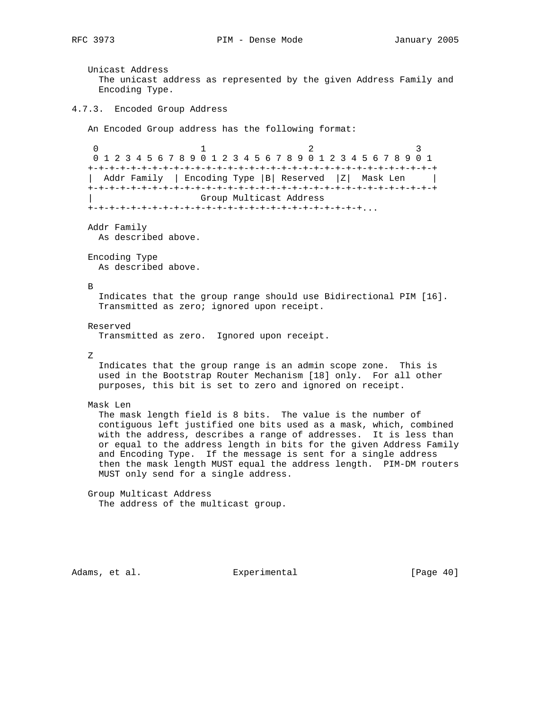Unicast Address The unicast address as represented by the given Address Family and Encoding Type. 4.7.3. Encoded Group Address An Encoded Group address has the following format: 0  $1$  2 3 0 1 2 3 4 5 6 7 8 9 0 1 2 3 4 5 6 7 8 9 0 1 2 3 4 5 6 7 8 9 0 1 +-+-+-+-+-+-+-+-+-+-+-+-+-+-+-+-+-+-+-+-+-+-+-+-+-+-+-+-+-+-+-+-+ | Addr Family | Encoding Type |B| Reserved |Z| Mask Len | +-+-+-+-+-+-+-+-+-+-+-+-+-+-+-+-+-+-+-+-+-+-+-+-+-+-+-+-+-+-+-+-+ | Group Multicast Address +-+-+-+-+-+-+-+-+-+-+-+-+-+-+-+-+-+-+-+-+-+-+-+-+-+... Addr Family As described above. Encoding Type As described above. B Indicates that the group range should use Bidirectional PIM [16]. Transmitted as zero; ignored upon receipt. Reserved Transmitted as zero. Ignored upon receipt. Z Indicates that the group range is an admin scope zone. This is used in the Bootstrap Router Mechanism [18] only. For all other purposes, this bit is set to zero and ignored on receipt. Mask Len The mask length field is 8 bits. The value is the number of contiguous left justified one bits used as a mask, which, combined with the address, describes a range of addresses. It is less than or equal to the address length in bits for the given Address Family and Encoding Type. If the message is sent for a single address then the mask length MUST equal the address length. PIM-DM routers MUST only send for a single address. Group Multicast Address The address of the multicast group.

Adams, et al. Subsection Experimental Contracts (Page 40)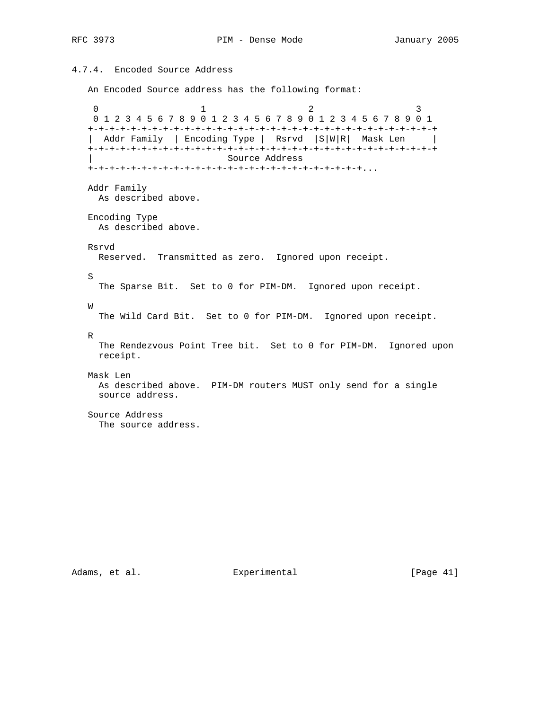# 4.7.4. Encoded Source Address

An Encoded Source address has the following format:

0  $1$  2 3 0 1 2 3 4 5 6 7 8 9 0 1 2 3 4 5 6 7 8 9 0 1 2 3 4 5 6 7 8 9 0 1 +-+-+-+-+-+-+-+-+-+-+-+-+-+-+-+-+-+-+-+-+-+-+-+-+-+-+-+-+-+-+-+-+ | Addr Family | Encoding Type | Rsrvd |S|W|R| Mask Len | +-+-+-+-+-+-+-+-+-+-+-+-+-+-+-+-+-+-+-+-+-+-+-+-+-+-+-+-+-+-+-+-+ | Source Address +-+-+-+-+-+-+-+-+-+-+-+-+-+-+-+-+-+-+-+-+-+-+-+-+-+... Addr Family As described above. Encoding Type As described above. Rsrvd Reserved. Transmitted as zero. Ignored upon receipt. S The Sparse Bit. Set to 0 for PIM-DM. Ignored upon receipt. W The Wild Card Bit. Set to 0 for PIM-DM. Ignored upon receipt. R The Rendezvous Point Tree bit. Set to 0 for PIM-DM. Ignored upon receipt. Mask Len As described above. PIM-DM routers MUST only send for a single source address. Source Address The source address.

Adams, et al. Subsection Experimental (Page 41)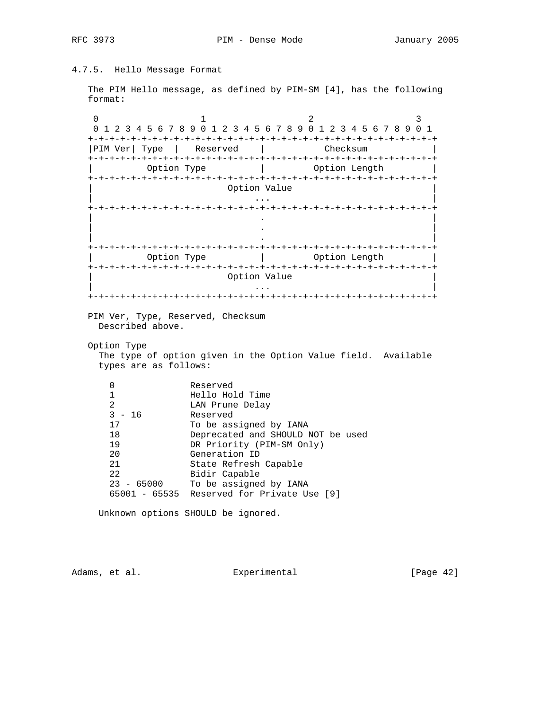RFC 3973 PIM - Dense Mode January 2005

# 4.7.5. Hello Message Format

 The PIM Hello message, as defined by PIM-SM [4], has the following format:

0  $1$  2 3 0 1 2 3 4 5 6 7 8 9 0 1 2 3 4 5 6 7 8 9 0 1 2 3 4 5 6 7 8 9 0 1 +-+-+-+-+-+-+-+-+-+-+-+-+-+-+-+-+-+-+-+-+-+-+-+-+-+-+-+-+-+-+-+-+ |PIM Ver| Type | Reserved | Checksum +-+-+-+-+-+-+-+-+-+-+-+-+-+-+-+-+-+-+-+-+-+-+-+-+-+-+-+-+-+-+-+-+ Option Type  $|$  Option Length +-+-+-+-+-+-+-+-+-+-+-+-+-+-+-+-+-+-+-+-+-+-+-+-+-+-+-+-+-+-+-+-+ Option Value | ... | ... | ... | ... | ... | ... | ... | ... | ... | ... | ... | ... | ... | ... | ... | ... | ... | ... | . +-+-+-+-+-+-+-+-+-+-+-+-+-+-+-+-+-+-+-+-+-+-+-+-+-+-+-+-+-+-+-+-+ | . | | . | | . | +-+-+-+-+-+-+-+-+-+-+-+-+-+-+-+-+-+-+-+-+-+-+-+-+-+-+-+-+-+-+-+-+ | Option Type | Option Length | +-+-+-+-+-+-+-+-+-+-+-+-+-+-+-+-+-+-+-+-+-+-+-+-+-+-+-+-+-+-+-+-+ Option Value | ... | ... | ... | ... | ... | ... | ... | ... | ... | ... | ... | ... | ... | ... | ... | ... | ... | ... | . +-+-+-+-+-+-+-+-+-+-+-+-+-+-+-+-+-+-+-+-+-+-+-+-+-+-+-+-+-+-+-+-+ PIM Ver, Type, Reserved, Checksum Described above. Option Type The type of option given in the Option Value field. Available types are as follows: 0 Reserved<br>1 Hello Hol<br>2 LAN Prune 1 Hello Hold Time 2 LAN Prune Delay<br>3 - 16 Reserved Reserved 17 To be assigned by IANA 18 Deprecated and SHOULD NOT be used 19 DR Priority (PIM-SM Only) 20 Generation ID 21 State Refresh Capable<br>22 Bidir Capable Bidir Capable 23 - 65000 To be assigned by IANA 65001 - 65535 Reserved for Private Use [9] Unknown options SHOULD be ignored.

Adams, et al. Experimental [Page 42]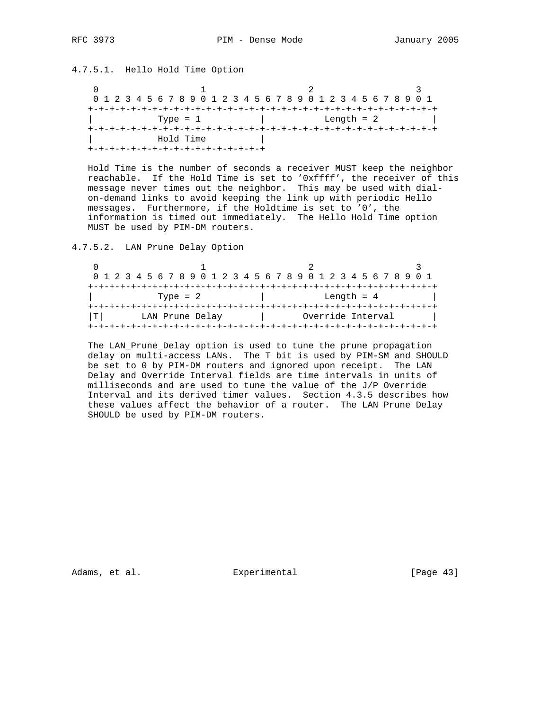# 4.7.5.1. Hello Hold Time Option

 $\begin{array}{ccc} 0 & 1 & 2 \end{array}$  0 1 2 3 4 5 6 7 8 9 0 1 2 3 4 5 6 7 8 9 0 1 2 3 4 5 6 7 8 9 0 1 +-+-+-+-+-+-+-+-+-+-+-+-+-+-+-+-+-+-+-+-+-+-+-+-+-+-+-+-+-+-+-+-+  $|\hspace{.6cm} \text{Type} \hspace{.2cm} = \hspace{.2cm} 1 \hspace{1.1cm} |\hspace{.6cm} \text{Length} \hspace{.2cm} = \hspace{.2cm} 2 \hspace{1.1cm} |\hspace{.6cm}$  +-+-+-+-+-+-+-+-+-+-+-+-+-+-+-+-+-+-+-+-+-+-+-+-+-+-+-+-+-+-+-+-+ | Hold Time | +-+-+-+-+-+-+-+-+-+-+-+-+-+-+-+-+

 Hold Time is the number of seconds a receiver MUST keep the neighbor reachable. If the Hold Time is set to '0xffff', the receiver of this message never times out the neighbor. This may be used with dial on-demand links to avoid keeping the link up with periodic Hello messages. Furthermore, if the Holdtime is set to '0', the information is timed out immediately. The Hello Hold Time option MUST be used by PIM-DM routers.

4.7.5.2. LAN Prune Delay Option

| 0 1 2 3 4 5 6 7 8 9 0 1 2 3 4 5 6 7 8 9 0 1 2 3 4 5 6 7 8 9 0 1 |  |  |  |                 |  |  |  |  |  |  |  |                   |  |  |  |  |
|-----------------------------------------------------------------|--|--|--|-----------------|--|--|--|--|--|--|--|-------------------|--|--|--|--|
|                                                                 |  |  |  |                 |  |  |  |  |  |  |  |                   |  |  |  |  |
|                                                                 |  |  |  | Type = $2$      |  |  |  |  |  |  |  | Length $= 4$      |  |  |  |  |
|                                                                 |  |  |  |                 |  |  |  |  |  |  |  |                   |  |  |  |  |
| T   I                                                           |  |  |  | LAN Prune Delay |  |  |  |  |  |  |  | Override Interval |  |  |  |  |
|                                                                 |  |  |  |                 |  |  |  |  |  |  |  |                   |  |  |  |  |

 The LAN\_Prune\_Delay option is used to tune the prune propagation delay on multi-access LANs. The T bit is used by PIM-SM and SHOULD be set to 0 by PIM-DM routers and ignored upon receipt. The LAN Delay and Override Interval fields are time intervals in units of milliseconds and are used to tune the value of the J/P Override Interval and its derived timer values. Section 4.3.5 describes how these values affect the behavior of a router. The LAN Prune Delay SHOULD be used by PIM-DM routers.

Adams, et al. Subsection Experimental Experimental [Page 43]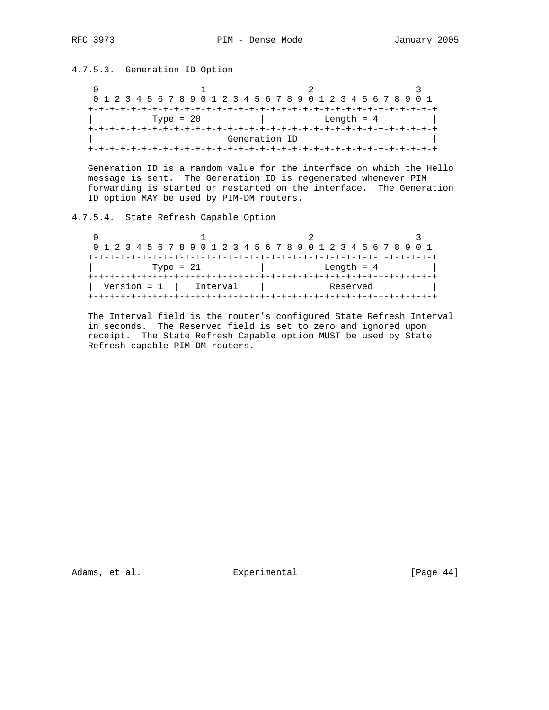# 4.7.5.3. Generation ID Option

 $\begin{array}{ccccccc}\n0 & & & 1 & & & 2 & & 3\n\end{array}$  0 1 2 3 4 5 6 7 8 9 0 1 2 3 4 5 6 7 8 9 0 1 2 3 4 5 6 7 8 9 0 1 +-+-+-+-+-+-+-+-+-+-+-+-+-+-+-+-+-+-+-+-+-+-+-+-+-+-+-+-+-+-+-+-+  $\boxed{\qquad \qquad \text{Type = 20} \qquad \qquad \qquad \text{Length = 4}$  +-+-+-+-+-+-+-+-+-+-+-+-+-+-+-+-+-+-+-+-+-+-+-+-+-+-+-+-+-+-+-+-+ Generation ID +-+-+-+-+-+-+-+-+-+-+-+-+-+-+-+-+-+-+-+-+-+-+-+-+-+-+-+-+-+-+-+-+

 Generation ID is a random value for the interface on which the Hello message is sent. The Generation ID is regenerated whenever PIM forwarding is started or restarted on the interface. The Generation ID option MAY be used by PIM-DM routers.

# 4.7.5.4. State Refresh Capable Option

|                        | 0 1 2 3 4 5 6 7 8 9 0 1 2 3 4 5 6 7 8 9 0 1 2 3 4 5 6 7 8 9 0 1 |  |
|------------------------|-----------------------------------------------------------------|--|
|                        |                                                                 |  |
| Type = $21$            | Length $= 4$                                                    |  |
|                        |                                                                 |  |
| $Version = 1$ Interval | Reserved                                                        |  |
|                        |                                                                 |  |

 The Interval field is the router's configured State Refresh Interval in seconds. The Reserved field is set to zero and ignored upon receipt. The State Refresh Capable option MUST be used by State Refresh capable PIM-DM routers.

Adams, et al. Subsection Experimental Contracts (Page 44)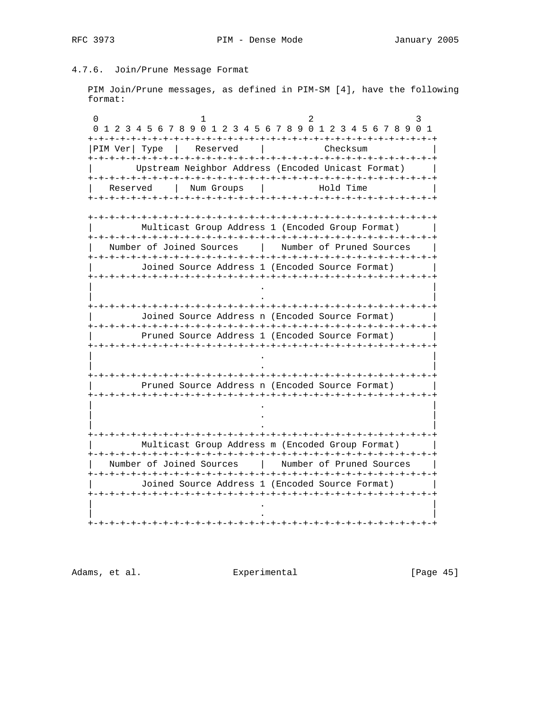# 4.7.6. Join/Prune Message Format

 PIM Join/Prune messages, as defined in PIM-SM [4], have the following format:

0  $1$  2 3 0 1 2 3 4 5 6 7 8 9 0 1 2 3 4 5 6 7 8 9 0 1 2 3 4 5 6 7 8 9 0 1 +-+-+-+-+-+-+-+-+-+-+-+-+-+-+-+-+-+-+-+-+-+-+-+-+-+-+-+-+-+-+-+-+ |PIM Ver| Type | Reserved | Checksum +-+-+-+-+-+-+-+-+-+-+-+-+-+-+-+-+-+-+-+-+-+-+-+-+-+-+-+-+-+-+-+-+ | Upstream Neighbor Address (Encoded Unicast Format) | +-+-+-+-+-+-+-+-+-+-+-+-+-+-+-+-+-+-+-+-+-+-+-+-+-+-+-+-+-+-+-+-+ Reserved | Num Groups | Hold Time +-+-+-+-+-+-+-+-+-+-+-+-+-+-+-+-+-+-+-+-+-+-+-+-+-+-+-+-+-+-+-+-+ +-+-+-+-+-+-+-+-+-+-+-+-+-+-+-+-+-+-+-+-+-+-+-+-+-+-+-+-+-+-+-+-+ Multicast Group Address 1 (Encoded Group Format) +-+-+-+-+-+-+-+-+-+-+-+-+-+-+-+-+-+-+-+-+-+-+-+-+-+-+-+-+-+-+-+-+ | Number of Joined Sources | Number of Pruned Sources | +-+-+-+-+-+-+-+-+-+-+-+-+-+-+-+-+-+-+-+-+-+-+-+-+-+-+-+-+-+-+-+-+ | Joined Source Address 1 (Encoded Source Format) | +-+-+-+-+-+-+-+-+-+-+-+-+-+-+-+-+-+-+-+-+-+-+-+-+-+-+-+-+-+-+-+-+ | . | | . | +-+-+-+-+-+-+-+-+-+-+-+-+-+-+-+-+-+-+-+-+-+-+-+-+-+-+-+-+-+-+-+-+ | Joined Source Address n (Encoded Source Format) | +-+-+-+-+-+-+-+-+-+-+-+-+-+-+-+-+-+-+-+-+-+-+-+-+-+-+-+-+-+-+-+-+ | Pruned Source Address 1 (Encoded Source Format) | +-+-+-+-+-+-+-+-+-+-+-+-+-+-+-+-+-+-+-+-+-+-+-+-+-+-+-+-+-+-+-+-+ | . | | . | +-+-+-+-+-+-+-+-+-+-+-+-+-+-+-+-+-+-+-+-+-+-+-+-+-+-+-+-+-+-+-+-+ Pruned Source Address n (Encoded Source Format) +-+-+-+-+-+-+-+-+-+-+-+-+-+-+-+-+-+-+-+-+-+-+-+-+-+-+-+-+-+-+-+-+ | . | | . | | . | +-+-+-+-+-+-+-+-+-+-+-+-+-+-+-+-+-+-+-+-+-+-+-+-+-+-+-+-+-+-+-+-+ Multicast Group Address m (Encoded Group Format) +-+-+-+-+-+-+-+-+-+-+-+-+-+-+-+-+-+-+-+-+-+-+-+-+-+-+-+-+-+-+-+-+ | Number of Joined Sources | Number of Pruned Sources | +-+-+-+-+-+-+-+-+-+-+-+-+-+-+-+-+-+-+-+-+-+-+-+-+-+-+-+-+-+-+-+-+ | Joined Source Address 1 (Encoded Source Format) | +-+-+-+-+-+-+-+-+-+-+-+-+-+-+-+-+-+-+-+-+-+-+-+-+-+-+-+-+-+-+-+-+ | . | | . | +-+-+-+-+-+-+-+-+-+-+-+-+-+-+-+-+-+-+-+-+-+-+-+-+-+-+-+-+-+-+-+-+

Adams, et al. Experimental [Page 45]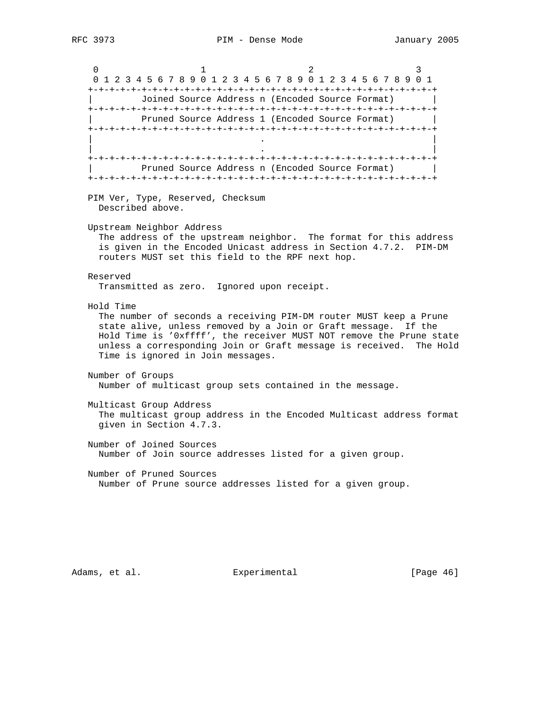0  $1$  2 3 0 1 2 3 4 5 6 7 8 9 0 1 2 3 4 5 6 7 8 9 0 1 2 3 4 5 6 7 8 9 0 1 +-+-+-+-+-+-+-+-+-+-+-+-+-+-+-+-+-+-+-+-+-+-+-+-+-+-+-+-+-+-+-+-+ | Joined Source Address n (Encoded Source Format) | +-+-+-+-+-+-+-+-+-+-+-+-+-+-+-+-+-+-+-+-+-+-+-+-+-+-+-+-+-+-+-+-+ Pruned Source Address 1 (Encoded Source Format) +-+-+-+-+-+-+-+-+-+-+-+-+-+-+-+-+-+-+-+-+-+-+-+-+-+-+-+-+-+-+-+-+ | . | | . | +-+-+-+-+-+-+-+-+-+-+-+-+-+-+-+-+-+-+-+-+-+-+-+-+-+-+-+-+-+-+-+-+ Pruned Source Address n (Encoded Source Format) +-+-+-+-+-+-+-+-+-+-+-+-+-+-+-+-+-+-+-+-+-+-+-+-+-+-+-+-+-+-+-+-+ PIM Ver, Type, Reserved, Checksum Described above. Upstream Neighbor Address The address of the upstream neighbor. The format for this address is given in the Encoded Unicast address in Section 4.7.2. PIM-DM routers MUST set this field to the RPF next hop. Reserved Transmitted as zero. Ignored upon receipt. Hold Time The number of seconds a receiving PIM-DM router MUST keep a Prune state alive, unless removed by a Join or Graft message. If the Hold Time is '0xffff', the receiver MUST NOT remove the Prune state unless a corresponding Join or Graft message is received. The Hold Time is ignored in Join messages. Number of Groups Number of multicast group sets contained in the message. Multicast Group Address The multicast group address in the Encoded Multicast address format given in Section 4.7.3. Number of Joined Sources Number of Join source addresses listed for a given group. Number of Pruned Sources Number of Prune source addresses listed for a given group.

Adams, et al. Subsection Experimental Contracts [Page 46]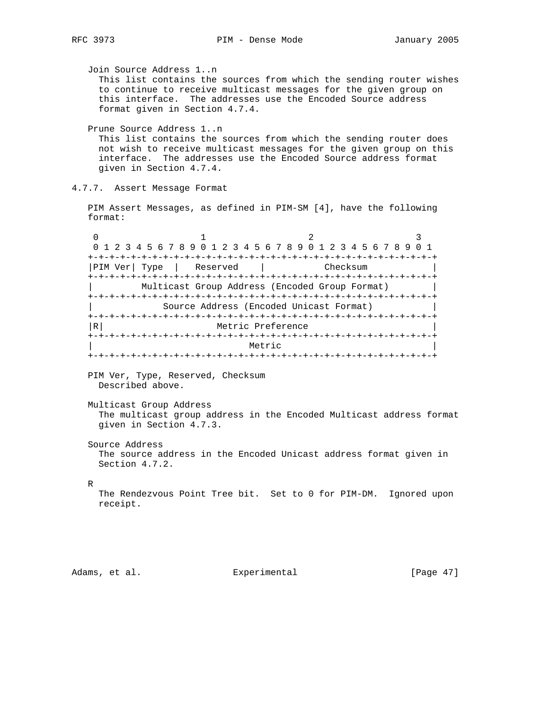Join Source Address 1..n This list contains the sources from which the sending router wishes to continue to receive multicast messages for the given group on this interface. The addresses use the Encoded Source address format given in Section 4.7.4. Prune Source Address 1..n This list contains the sources from which the sending router does not wish to receive multicast messages for the given group on this interface. The addresses use the Encoded Source address format given in Section 4.7.4. 4.7.7. Assert Message Format PIM Assert Messages, as defined in PIM-SM [4], have the following format: 0  $1$  2 3 0 1 2 3 4 5 6 7 8 9 0 1 2 3 4 5 6 7 8 9 0 1 2 3 4 5 6 7 8 9 0 1 +-+-+-+-+-+-+-+-+-+-+-+-+-+-+-+-+-+-+-+-+-+-+-+-+-+-+-+-+-+-+-+-+ |PIM Ver| Type | Reserved | Checksum +-+-+-+-+-+-+-+-+-+-+-+-+-+-+-+-+-+-+-+-+-+-+-+-+-+-+-+-+-+-+-+-+ | Multicast Group Address (Encoded Group Format) | +-+-+-+-+-+-+-+-+-+-+-+-+-+-+-+-+-+-+-+-+-+-+-+-+-+-+-+-+-+-+-+-+ | Source Address (Encoded Unicast Format) | +-+-+-+-+-+-+-+-+-+-+-+-+-+-+-+-+-+-+-+-+-+-+-+-+-+-+-+-+-+-+-+-+ |R| Metric Preference +-+-+-+-+-+-+-+-+-+-+-+-+-+-+-+-+-+-+-+-+-+-+-+-+-+-+-+-+-+-+-+-+ | Metric | Metric | Metric | Metric | New York | New York | New York | New York | New York | New York | New York | New York | New York | New York | New York | New York | New York | New York | New York | New York | New York +-+-+-+-+-+-+-+-+-+-+-+-+-+-+-+-+-+-+-+-+-+-+-+-+-+-+-+-+-+-+-+-+ PIM Ver, Type, Reserved, Checksum Described above. Multicast Group Address The multicast group address in the Encoded Multicast address format given in Section 4.7.3. Source Address The source address in the Encoded Unicast address format given in Section 4.7.2. R The Rendezvous Point Tree bit. Set to 0 for PIM-DM. Ignored upon receipt. Adams, et al. Experimental [Page 47]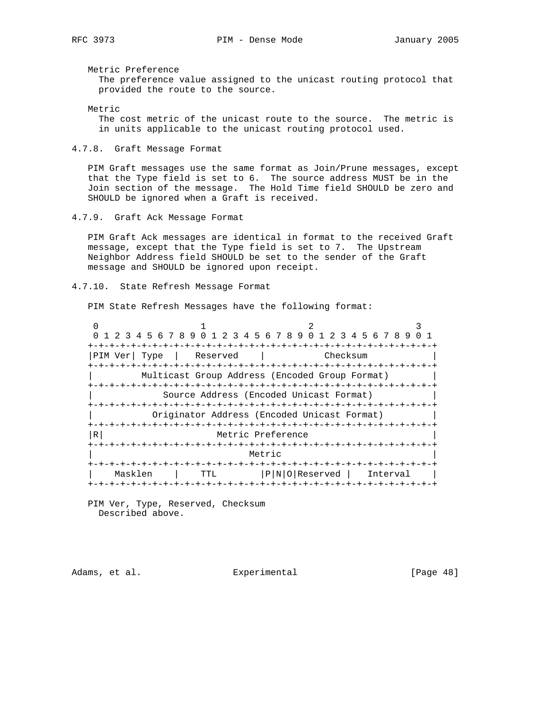Metric Preference

 The preference value assigned to the unicast routing protocol that provided the route to the source.

Metric

 The cost metric of the unicast route to the source. The metric is in units applicable to the unicast routing protocol used.

4.7.8. Graft Message Format

 PIM Graft messages use the same format as Join/Prune messages, except that the Type field is set to 6. The source address MUST be in the Join section of the message. The Hold Time field SHOULD be zero and SHOULD be ignored when a Graft is received.

4.7.9. Graft Ack Message Format

 PIM Graft Ack messages are identical in format to the received Graft message, except that the Type field is set to 7. The Upstream Neighbor Address field SHOULD be set to the sender of the Graft message and SHOULD be ignored upon receipt.

4.7.10. State Refresh Message Format

PIM State Refresh Messages have the following format:

0  $1$  2 3 0 1 2 3 4 5 6 7 8 9 0 1 2 3 4 5 6 7 8 9 0 1 2 3 4 5 6 7 8 9 0 1 +-+-+-+-+-+-+-+-+-+-+-+-+-+-+-+-+-+-+-+-+-+-+-+-+-+-+-+-+-+-+-+-+ |PIM Ver| Type | Reserved | Checksum +-+-+-+-+-+-+-+-+-+-+-+-+-+-+-+-+-+-+-+-+-+-+-+-+-+-+-+-+-+-+-+-+ Multicast Group Address (Encoded Group Format) +-+-+-+-+-+-+-+-+-+-+-+-+-+-+-+-+-+-+-+-+-+-+-+-+-+-+-+-+-+-+-+-+ | Source Address (Encoded Unicast Format) | +-+-+-+-+-+-+-+-+-+-+-+-+-+-+-+-+-+-+-+-+-+-+-+-+-+-+-+-+-+-+-+-+ | Originator Address (Encoded Unicast Format) | +-+-+-+-+-+-+-+-+-+-+-+-+-+-+-+-+-+-+-+-+-+-+-+-+-+-+-+-+-+-+-+-+ |R| Metric Preference +-+-+-+-+-+-+-+-+-+-+-+-+-+-+-+-+-+-+-+-+-+-+-+-+-+-+-+-+-+-+-+-+ | Metric | Metric | Metric | Metric | New York | New York | New York | New York | New York | New York | New York | New York | New York | New York | New York | New York | New York | New York | New York | New York | New York +-+-+-+-+-+-+-+-+-+-+-+-+-+-+-+-+-+-+-+-+-+-+-+-+-+-+-+-+-+-+-+-+ | Masklen | TTL |P|N|O|Reserved | Interval | +-+-+-+-+-+-+-+-+-+-+-+-+-+-+-+-+-+-+-+-+-+-+-+-+-+-+-+-+-+-+-+-+

 PIM Ver, Type, Reserved, Checksum Described above.

Adams, et al. Experimental Experimental [Page 48]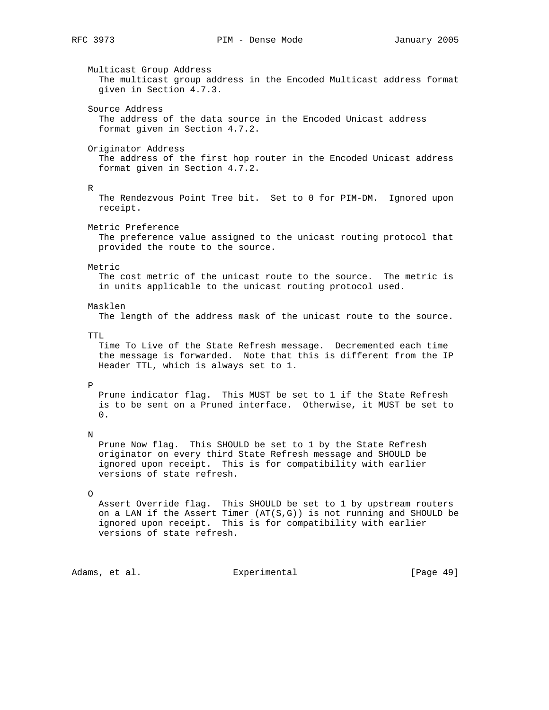Multicast Group Address The multicast group address in the Encoded Multicast address format given in Section 4.7.3. Source Address The address of the data source in the Encoded Unicast address format given in Section 4.7.2. Originator Address The address of the first hop router in the Encoded Unicast address format given in Section 4.7.2. R The Rendezvous Point Tree bit. Set to 0 for PIM-DM. Ignored upon receipt. Metric Preference The preference value assigned to the unicast routing protocol that provided the route to the source. Metric The cost metric of the unicast route to the source. The metric is in units applicable to the unicast routing protocol used. Masklen The length of the address mask of the unicast route to the source. TTL. Time To Live of the State Refresh message. Decremented each time the message is forwarded. Note that this is different from the IP Header TTL, which is always set to 1. P Prune indicator flag. This MUST be set to 1 if the State Refresh is to be sent on a Pruned interface. Otherwise, it MUST be set to  $0.$  N Prune Now flag. This SHOULD be set to 1 by the State Refresh originator on every third State Refresh message and SHOULD be ignored upon receipt. This is for compatibility with earlier versions of state refresh. O Assert Override flag. This SHOULD be set to 1 by upstream routers on a LAN if the Assert Timer  $(AT(S, G))$  is not running and SHOULD be ignored upon receipt. This is for compatibility with earlier versions of state refresh.

Adams, et al. Subsection Experimental (Page 49)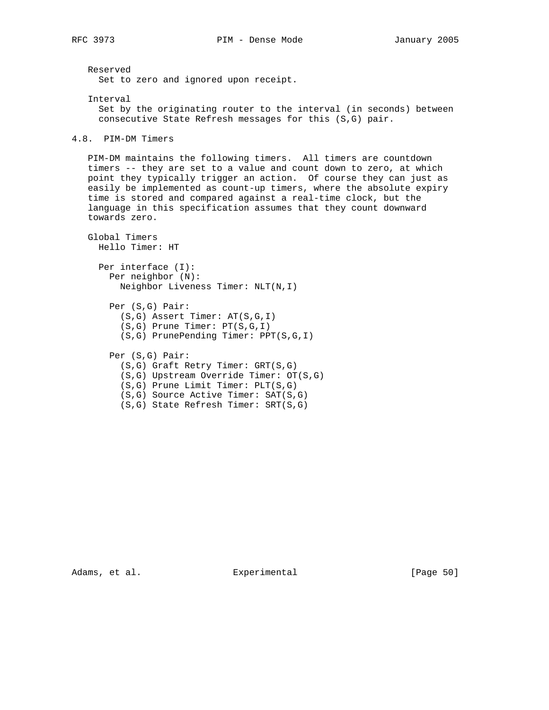```
 Reserved
     Set to zero and ignored upon receipt.
    Interval
      Set by the originating router to the interval (in seconds) between
      consecutive State Refresh messages for this (S,G) pair.
4.8. PIM-DM Timers
   PIM-DM maintains the following timers. All timers are countdown
   timers -- they are set to a value and count down to zero, at which
   point they typically trigger an action. Of course they can just as
    easily be implemented as count-up timers, where the absolute expiry
    time is stored and compared against a real-time clock, but the
    language in this specification assumes that they count downward
    towards zero.
   Global Timers
     Hello Timer: HT
     Per interface (I):
       Per neighbor (N):
         Neighbor Liveness Timer: NLT(N,I)
        Per (S,G) Pair:
          (S,G) Assert Timer: AT(S,G,I)
          (S,G) Prune Timer: PT(S,G,I)
          (S,G) PrunePending Timer: PPT(S,G,I)
       Per (S,G) Pair:
         (S,G) Graft Retry Timer: GRT(S,G)
          (S,G) Upstream Override Timer: OT(S,G)
          (S,G) Prune Limit Timer: PLT(S,G)
          (S,G) Source Active Timer: SAT(S,G)
          (S,G) State Refresh Timer: SRT(S,G)
```
Adams, et al. Experimental [Page 50]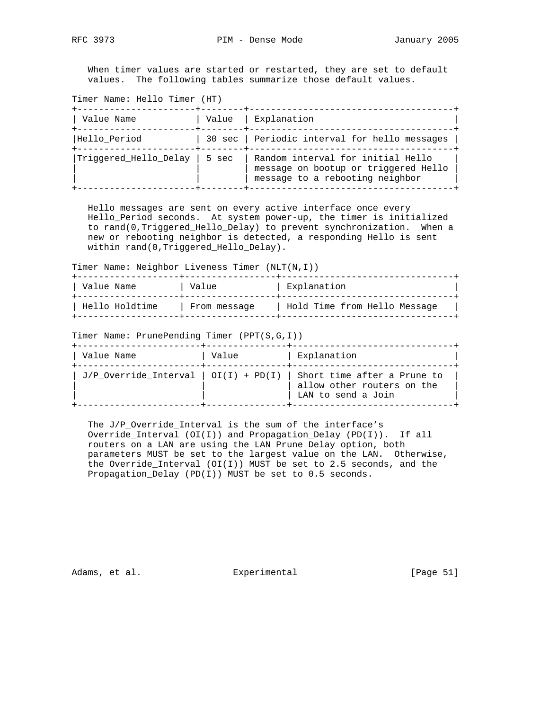When timer values are started or restarted, they are set to default values. The following tables summarize those default values.

Timer Name: Hello Timer (HT)

| Value Name            | Value | Explanation                                                                                                  |
|-----------------------|-------|--------------------------------------------------------------------------------------------------------------|
| Hello Period          |       | 30 sec   Periodic interval for hello messages                                                                |
| Triggered_Hello_Delay | 5 sec | Random interval for initial Hello<br>message on bootup or triggered Hello<br>message to a rebooting neighbor |

 Hello messages are sent on every active interface once every Hello\_Period seconds. At system power-up, the timer is initialized to rand(0,Triggered\_Hello\_Delay) to prevent synchronization. When a new or rebooting neighbor is detected, a responding Hello is sent within rand(0,Triggered\_Hello\_Delay).

Timer Name: Neighbor Liveness Timer (NLT(N,I))

| Value Name     | Value        | Explanation                  |
|----------------|--------------|------------------------------|
| Hello Holdtime | From message | Hold Time from Hello Message |

Timer Name: PrunePending Timer (PPT(S,G,I))

| Value Name | Value | Explanation                                                                                                             |
|------------|-------|-------------------------------------------------------------------------------------------------------------------------|
|            |       | J/P Override Interval   OI(I) + PD(I)   Short time after a Prune to<br>allow other routers on the<br>LAN to send a Join |

 The J/P\_Override\_Interval is the sum of the interface's Override\_Interval (OI(I)) and Propagation\_Delay (PD(I)). If all routers on a LAN are using the LAN Prune Delay option, both parameters MUST be set to the largest value on the LAN. Otherwise, the Override\_Interval (OI(I)) MUST be set to 2.5 seconds, and the Propagation\_Delay (PD(I)) MUST be set to 0.5 seconds.

Adams, et al. Subsection Experimental Experimental [Page 51]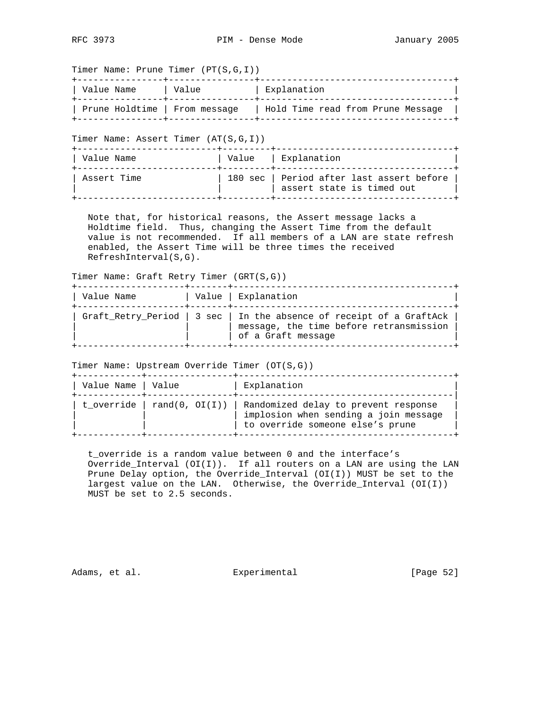Timer Name: Prune Timer (PT(S,G,I))

| Value Name                    | Value | Explanation                       |
|-------------------------------|-------|-----------------------------------|
| Prune Holdtime   From message |       | Hold Time read from Prune Message |

Timer Name: Assert Timer (AT(S,G,I))

| Value Name  | Value   Explanation                                                    |
|-------------|------------------------------------------------------------------------|
| Assert Time | 180 sec   Period after last assert before<br>assert state is timed out |

 Note that, for historical reasons, the Assert message lacks a Holdtime field. Thus, changing the Assert Time from the default value is not recommended. If all members of a LAN are state refresh enabled, the Assert Time will be three times the received RefreshInterval(S,G).

Timer Name: Graft Retry Timer (GRT(S,G))

| Value Name | Value   Explanation                                                                                                                   |
|------------|---------------------------------------------------------------------------------------------------------------------------------------|
|            | Graft_Retry_Period   3 sec   In the absence of receipt of a GraftAck<br>message, the time before retransmission<br>of a Graft message |

Timer Name: Upstream Override Timer (OT(S,G))

| Value Name   Value | Explanation                                                                                                                                        |
|--------------------|----------------------------------------------------------------------------------------------------------------------------------------------------|
|                    | t_override   rand(0, $O(I(I))$   Randomized delay to prevent response<br>implosion when sending a join message<br>to override someone else's prune |

 t\_override is a random value between 0 and the interface's Override\_Interval (OI(I)). If all routers on a LAN are using the LAN Prune Delay option, the Override\_Interval (OI(I)) MUST be set to the largest value on the LAN. Otherwise, the Override\_Interval (OI(I)) MUST be set to 2.5 seconds.

Adams, et al. Subsection Experimental Experimental [Page 52]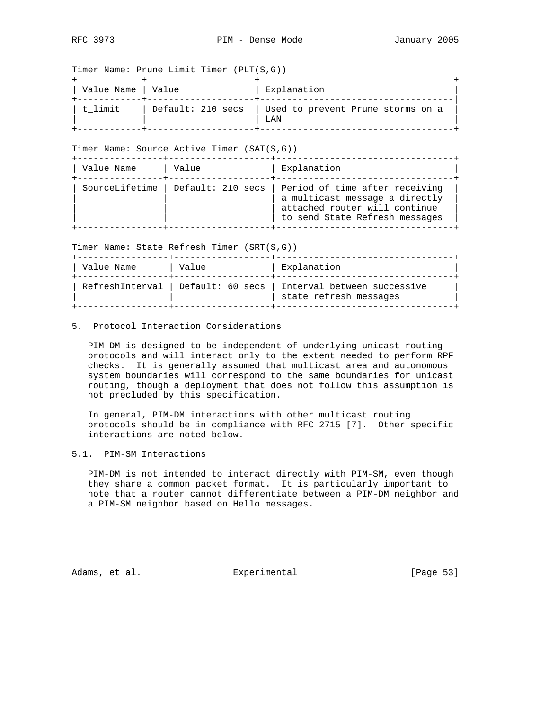Timer Name: Prune Limit Timer (PLT(S,G))

| Value Name   Value |                   | Explanation                               |
|--------------------|-------------------|-------------------------------------------|
| l t limit          | Default: 210 secs | Used to prevent Prune storms on a<br>T.AN |

Timer Name: Source Active Timer (SAT(S,G))

| Value Name | Value                              | Explanation                                                                                                                         |
|------------|------------------------------------|-------------------------------------------------------------------------------------------------------------------------------------|
|            | SourceLifetime   Default: 210 secs | Period of time after receiving<br>a multicast message a directly<br>attached router will continue<br>to send State Refresh messages |

Timer Name: State Refresh Timer (SRT(S,G))

| Value Name | Value | Explanation                                                                                |
|------------|-------|--------------------------------------------------------------------------------------------|
|            |       | RefreshInterval   Default: 60 secs   Interval between successive<br>state refresh messages |

# 5. Protocol Interaction Considerations

 PIM-DM is designed to be independent of underlying unicast routing protocols and will interact only to the extent needed to perform RPF checks. It is generally assumed that multicast area and autonomous system boundaries will correspond to the same boundaries for unicast routing, though a deployment that does not follow this assumption is not precluded by this specification.

 In general, PIM-DM interactions with other multicast routing protocols should be in compliance with RFC 2715 [7]. Other specific interactions are noted below.

# 5.1. PIM-SM Interactions

 PIM-DM is not intended to interact directly with PIM-SM, even though they share a common packet format. It is particularly important to note that a router cannot differentiate between a PIM-DM neighbor and a PIM-SM neighbor based on Hello messages.

Adams, et al. Subsection Experimental Contract (Page 53)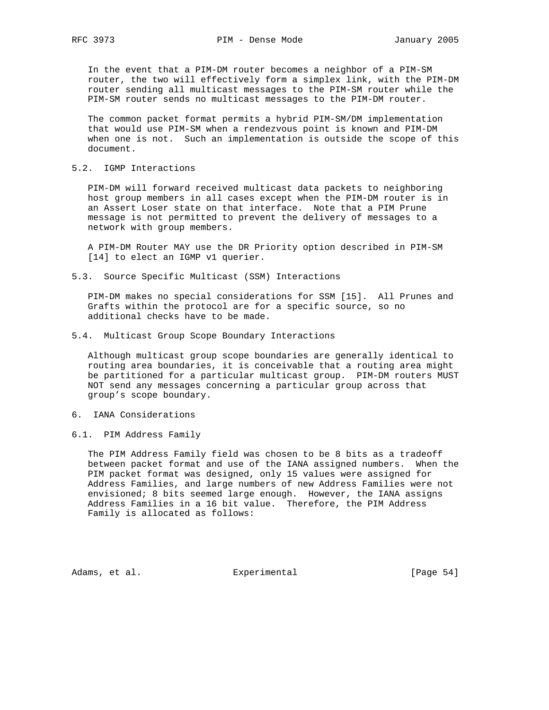In the event that a PIM-DM router becomes a neighbor of a PIM-SM router, the two will effectively form a simplex link, with the PIM-DM router sending all multicast messages to the PIM-SM router while the PIM-SM router sends no multicast messages to the PIM-DM router.

 The common packet format permits a hybrid PIM-SM/DM implementation that would use PIM-SM when a rendezvous point is known and PIM-DM when one is not. Such an implementation is outside the scope of this document.

## 5.2. IGMP Interactions

 PIM-DM will forward received multicast data packets to neighboring host group members in all cases except when the PIM-DM router is in an Assert Loser state on that interface. Note that a PIM Prune message is not permitted to prevent the delivery of messages to a network with group members.

 A PIM-DM Router MAY use the DR Priority option described in PIM-SM [14] to elect an IGMP v1 querier.

5.3. Source Specific Multicast (SSM) Interactions

 PIM-DM makes no special considerations for SSM [15]. All Prunes and Grafts within the protocol are for a specific source, so no additional checks have to be made.

5.4. Multicast Group Scope Boundary Interactions

 Although multicast group scope boundaries are generally identical to routing area boundaries, it is conceivable that a routing area might be partitioned for a particular multicast group. PIM-DM routers MUST NOT send any messages concerning a particular group across that group's scope boundary.

- 6. IANA Considerations
- 6.1. PIM Address Family

 The PIM Address Family field was chosen to be 8 bits as a tradeoff between packet format and use of the IANA assigned numbers. When the PIM packet format was designed, only 15 values were assigned for Address Families, and large numbers of new Address Families were not envisioned; 8 bits seemed large enough. However, the IANA assigns Address Families in a 16 bit value. Therefore, the PIM Address Family is allocated as follows:

Adams, et al. Subsectimental Experimental [Page 54]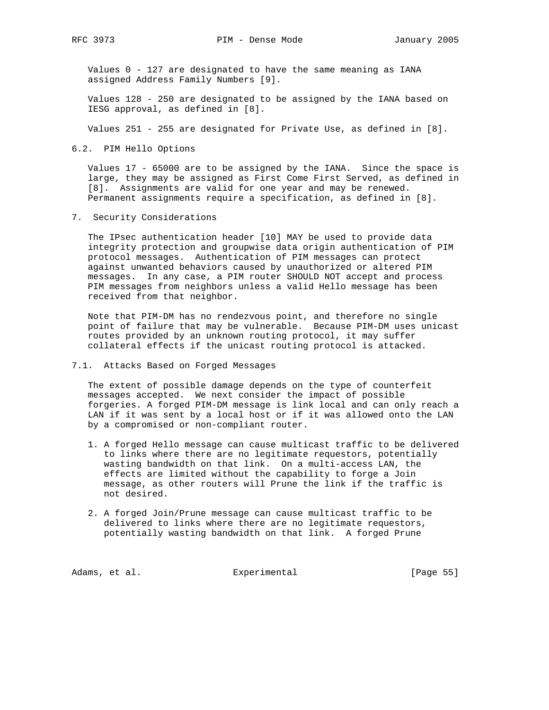Values 0 - 127 are designated to have the same meaning as IANA assigned Address Family Numbers [9].

 Values 128 - 250 are designated to be assigned by the IANA based on IESG approval, as defined in [8].

Values 251 - 255 are designated for Private Use, as defined in [8].

6.2. PIM Hello Options

 Values 17 - 65000 are to be assigned by the IANA. Since the space is large, they may be assigned as First Come First Served, as defined in [8]. Assignments are valid for one year and may be renewed. Permanent assignments require a specification, as defined in [8].

7. Security Considerations

 The IPsec authentication header [10] MAY be used to provide data integrity protection and groupwise data origin authentication of PIM protocol messages. Authentication of PIM messages can protect against unwanted behaviors caused by unauthorized or altered PIM messages. In any case, a PIM router SHOULD NOT accept and process PIM messages from neighbors unless a valid Hello message has been received from that neighbor.

 Note that PIM-DM has no rendezvous point, and therefore no single point of failure that may be vulnerable. Because PIM-DM uses unicast routes provided by an unknown routing protocol, it may suffer collateral effects if the unicast routing protocol is attacked.

7.1. Attacks Based on Forged Messages

 The extent of possible damage depends on the type of counterfeit messages accepted. We next consider the impact of possible forgeries. A forged PIM-DM message is link local and can only reach a LAN if it was sent by a local host or if it was allowed onto the LAN by a compromised or non-compliant router.

- 1. A forged Hello message can cause multicast traffic to be delivered to links where there are no legitimate requestors, potentially wasting bandwidth on that link. On a multi-access LAN, the effects are limited without the capability to forge a Join message, as other routers will Prune the link if the traffic is not desired.
- 2. A forged Join/Prune message can cause multicast traffic to be delivered to links where there are no legitimate requestors, potentially wasting bandwidth on that link. A forged Prune

Adams, et al. Subsection Experimental Contracts [Page 55]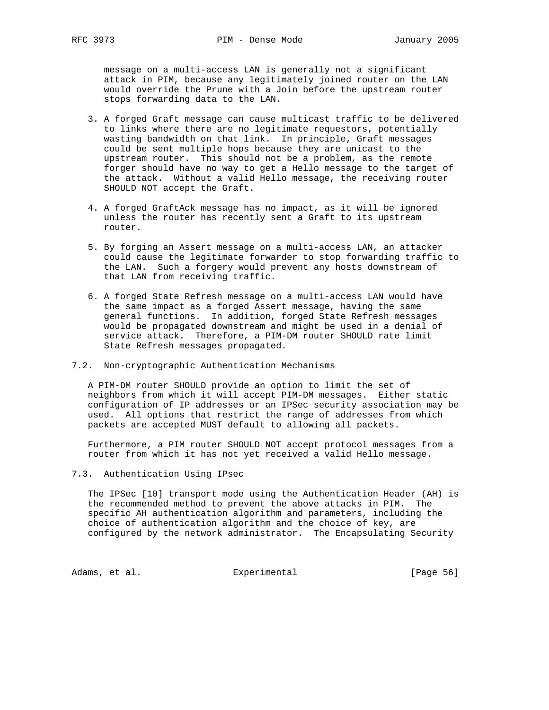message on a multi-access LAN is generally not a significant attack in PIM, because any legitimately joined router on the LAN would override the Prune with a Join before the upstream router stops forwarding data to the LAN.

- 3. A forged Graft message can cause multicast traffic to be delivered to links where there are no legitimate requestors, potentially wasting bandwidth on that link. In principle, Graft messages could be sent multiple hops because they are unicast to the upstream router. This should not be a problem, as the remote forger should have no way to get a Hello message to the target of the attack. Without a valid Hello message, the receiving router SHOULD NOT accept the Graft.
- 4. A forged GraftAck message has no impact, as it will be ignored unless the router has recently sent a Graft to its upstream router.
- 5. By forging an Assert message on a multi-access LAN, an attacker could cause the legitimate forwarder to stop forwarding traffic to the LAN. Such a forgery would prevent any hosts downstream of that LAN from receiving traffic.
- 6. A forged State Refresh message on a multi-access LAN would have the same impact as a forged Assert message, having the same general functions. In addition, forged State Refresh messages would be propagated downstream and might be used in a denial of service attack. Therefore, a PIM-DM router SHOULD rate limit State Refresh messages propagated.
- 7.2. Non-cryptographic Authentication Mechanisms

 A PIM-DM router SHOULD provide an option to limit the set of neighbors from which it will accept PIM-DM messages. Either static configuration of IP addresses or an IPSec security association may be used. All options that restrict the range of addresses from which packets are accepted MUST default to allowing all packets.

 Furthermore, a PIM router SHOULD NOT accept protocol messages from a router from which it has not yet received a valid Hello message.

7.3. Authentication Using IPsec

 The IPSec [10] transport mode using the Authentication Header (AH) is the recommended method to prevent the above attacks in PIM. The specific AH authentication algorithm and parameters, including the choice of authentication algorithm and the choice of key, are configured by the network administrator. The Encapsulating Security

Adams, et al. Subsection Experimental Contracts [Page 56]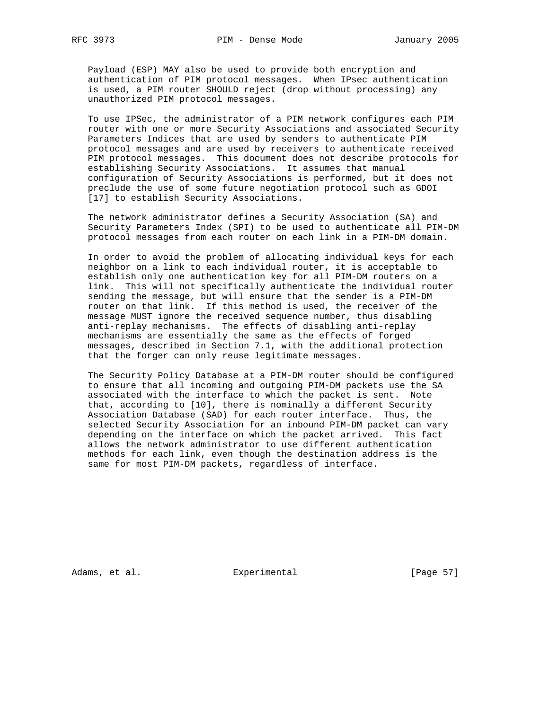Payload (ESP) MAY also be used to provide both encryption and authentication of PIM protocol messages. When IPsec authentication is used, a PIM router SHOULD reject (drop without processing) any unauthorized PIM protocol messages.

 To use IPSec, the administrator of a PIM network configures each PIM router with one or more Security Associations and associated Security Parameters Indices that are used by senders to authenticate PIM protocol messages and are used by receivers to authenticate received PIM protocol messages. This document does not describe protocols for establishing Security Associations. It assumes that manual configuration of Security Associations is performed, but it does not preclude the use of some future negotiation protocol such as GDOI [17] to establish Security Associations.

 The network administrator defines a Security Association (SA) and Security Parameters Index (SPI) to be used to authenticate all PIM-DM protocol messages from each router on each link in a PIM-DM domain.

 In order to avoid the problem of allocating individual keys for each neighbor on a link to each individual router, it is acceptable to establish only one authentication key for all PIM-DM routers on a link. This will not specifically authenticate the individual router sending the message, but will ensure that the sender is a PIM-DM router on that link. If this method is used, the receiver of the message MUST ignore the received sequence number, thus disabling anti-replay mechanisms. The effects of disabling anti-replay mechanisms are essentially the same as the effects of forged messages, described in Section 7.1, with the additional protection that the forger can only reuse legitimate messages.

 The Security Policy Database at a PIM-DM router should be configured to ensure that all incoming and outgoing PIM-DM packets use the SA associated with the interface to which the packet is sent. Note that, according to [10], there is nominally a different Security Association Database (SAD) for each router interface. Thus, the selected Security Association for an inbound PIM-DM packet can vary depending on the interface on which the packet arrived. This fact allows the network administrator to use different authentication methods for each link, even though the destination address is the same for most PIM-DM packets, regardless of interface.

Adams, et al. Subsection Experimental Formula (Page 57)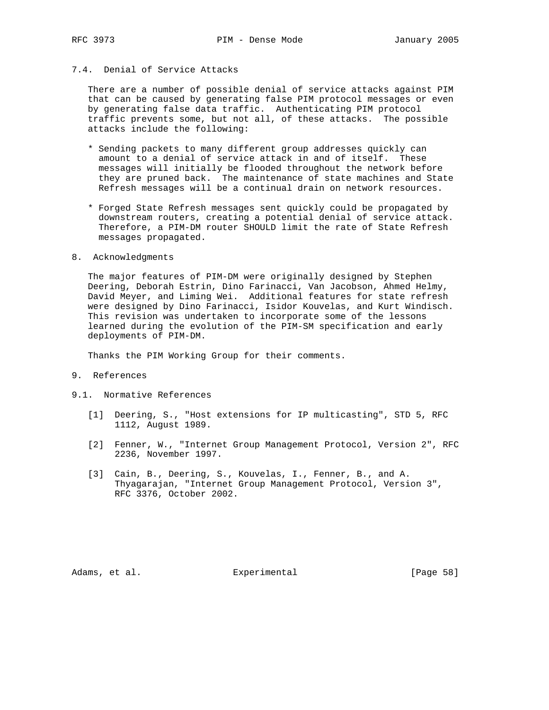# 7.4. Denial of Service Attacks

 There are a number of possible denial of service attacks against PIM that can be caused by generating false PIM protocol messages or even by generating false data traffic. Authenticating PIM protocol traffic prevents some, but not all, of these attacks. The possible attacks include the following:

- \* Sending packets to many different group addresses quickly can amount to a denial of service attack in and of itself. These messages will initially be flooded throughout the network before they are pruned back. The maintenance of state machines and State Refresh messages will be a continual drain on network resources.
- \* Forged State Refresh messages sent quickly could be propagated by downstream routers, creating a potential denial of service attack. Therefore, a PIM-DM router SHOULD limit the rate of State Refresh messages propagated.
- 8. Acknowledgments

 The major features of PIM-DM were originally designed by Stephen Deering, Deborah Estrin, Dino Farinacci, Van Jacobson, Ahmed Helmy, David Meyer, and Liming Wei. Additional features for state refresh were designed by Dino Farinacci, Isidor Kouvelas, and Kurt Windisch. This revision was undertaken to incorporate some of the lessons learned during the evolution of the PIM-SM specification and early deployments of PIM-DM.

Thanks the PIM Working Group for their comments.

- 9. References
- 9.1. Normative References
	- [1] Deering, S., "Host extensions for IP multicasting", STD 5, RFC 1112, August 1989.
	- [2] Fenner, W., "Internet Group Management Protocol, Version 2", RFC 2236, November 1997.
	- [3] Cain, B., Deering, S., Kouvelas, I., Fenner, B., and A. Thyagarajan, "Internet Group Management Protocol, Version 3", RFC 3376, October 2002.

Adams, et al. Subsection Experimental Experimental [Page 58]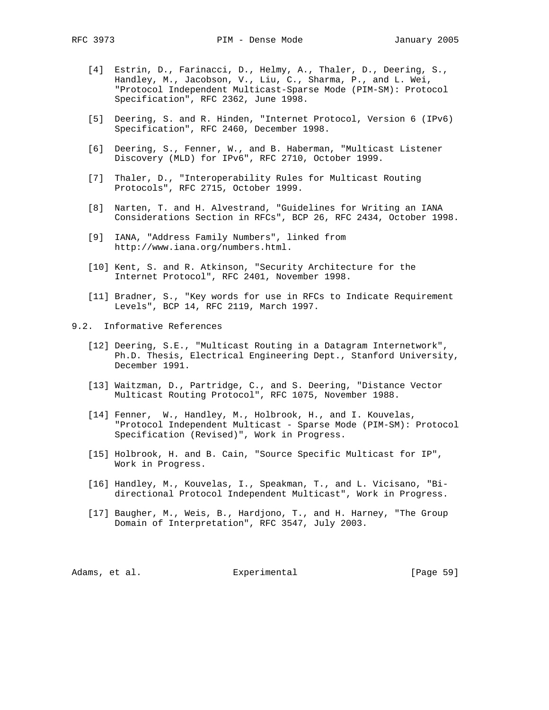- [4] Estrin, D., Farinacci, D., Helmy, A., Thaler, D., Deering, S., Handley, M., Jacobson, V., Liu, C., Sharma, P., and L. Wei, "Protocol Independent Multicast-Sparse Mode (PIM-SM): Protocol Specification", RFC 2362, June 1998.
- [5] Deering, S. and R. Hinden, "Internet Protocol, Version 6 (IPv6) Specification", RFC 2460, December 1998.
- [6] Deering, S., Fenner, W., and B. Haberman, "Multicast Listener Discovery (MLD) for IPv6", RFC 2710, October 1999.
- [7] Thaler, D., "Interoperability Rules for Multicast Routing Protocols", RFC 2715, October 1999.
- [8] Narten, T. and H. Alvestrand, "Guidelines for Writing an IANA Considerations Section in RFCs", BCP 26, RFC 2434, October 1998.
- [9] IANA, "Address Family Numbers", linked from http://www.iana.org/numbers.html.
- [10] Kent, S. and R. Atkinson, "Security Architecture for the Internet Protocol", RFC 2401, November 1998.
- [11] Bradner, S., "Key words for use in RFCs to Indicate Requirement Levels", BCP 14, RFC 2119, March 1997.
- 9.2. Informative References
	- [12] Deering, S.E., "Multicast Routing in a Datagram Internetwork", Ph.D. Thesis, Electrical Engineering Dept., Stanford University, December 1991.
	- [13] Waitzman, D., Partridge, C., and S. Deering, "Distance Vector Multicast Routing Protocol", RFC 1075, November 1988.
	- [14] Fenner, W., Handley, M., Holbrook, H., and I. Kouvelas, "Protocol Independent Multicast - Sparse Mode (PIM-SM): Protocol Specification (Revised)", Work in Progress.
	- [15] Holbrook, H. and B. Cain, "Source Specific Multicast for IP", Work in Progress.
	- [16] Handley, M., Kouvelas, I., Speakman, T., and L. Vicisano, "Bi directional Protocol Independent Multicast", Work in Progress.
	- [17] Baugher, M., Weis, B., Hardjono, T., and H. Harney, "The Group Domain of Interpretation", RFC 3547, July 2003.

Adams, et al. Subsectimental Experimental [Page 59]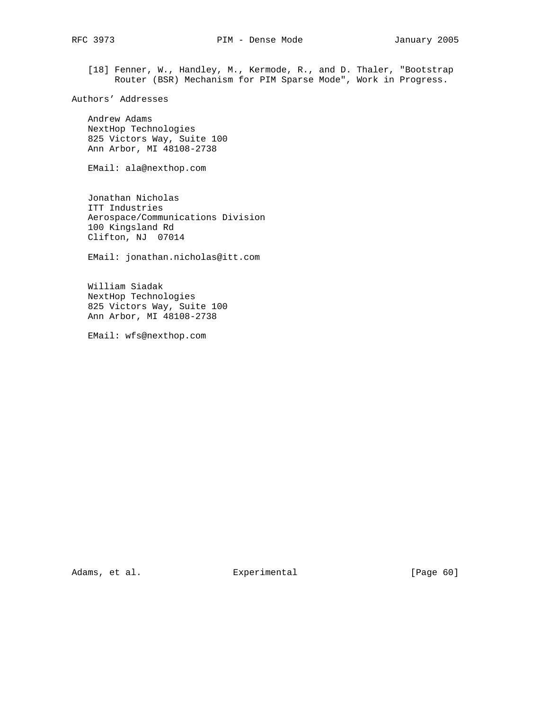[18] Fenner, W., Handley, M., Kermode, R., and D. Thaler, "Bootstrap Router (BSR) Mechanism for PIM Sparse Mode", Work in Progress.

```
Authors' Addresses
```
 Andrew Adams NextHop Technologies 825 Victors Way, Suite 100 Ann Arbor, MI 48108-2738

EMail: ala@nexthop.com

 Jonathan Nicholas ITT Industries Aerospace/Communications Division 100 Kingsland Rd Clifton, NJ 07014

EMail: jonathan.nicholas@itt.com

 William Siadak NextHop Technologies 825 Victors Way, Suite 100 Ann Arbor, MI 48108-2738

EMail: wfs@nexthop.com

Adams, et al. Experimental [Page 60]